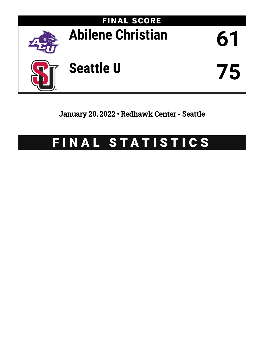

January 20, 2022 • Redhawk Center - Seattle

# FINAL STATISTICS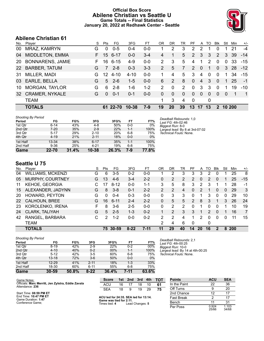# **Official Box Score Abilene Christian vs Seattle U Game Totals -- Final Statistics January 20, 2022 at Redhawk Center - Seattle**



# **Abilene Christian 61**

| No.       | Plaver                  | S  | Pts      | FG.      | 3FG       | FT      | OR            | DR.      | TR       | PF            | A              | TO       | <b>Blk</b>       | Stl      | Min         | $+/-$          |
|-----------|-------------------------|----|----------|----------|-----------|---------|---------------|----------|----------|---------------|----------------|----------|------------------|----------|-------------|----------------|
| 00        | MRAZ, KAMRYN            | G  | $\Omega$ | $0 - 5$  | $0 - 4$   | $0 - 0$ |               | 2        | 3        | $\mathcal{P}$ | 2              |          | 0                |          | 21          | $-4$           |
| 04        | <b>MIDDLETON, EMMA</b>  | F. | 15       | $6 - 17$ | $0 - 0$   | $3 - 4$ | 4             | 1        | 5        | 2             | 3              | 3        | 2                | 3        | 39          | $-14$          |
| <b>20</b> | <b>BONNARENS, JAMIE</b> | F. | 16       | 6-15     | $4 - 9$   | $0 - 0$ | 2             | 3        | 5        | 4             |                | 2        | $\Omega$         | $\Omega$ | -33         | $-15$          |
| <b>22</b> | <b>BARBER, TATUM</b>    | G  | 7        | $2 - 8$  | $0 - 3$   | $3 - 3$ | $\mathcal{P}$ | 5        | 7        | $\mathcal{P}$ | $\Omega$       | 1        | $\Omega$         | 3        | -28         | $-12$          |
| 31        | MILLER, MADI            | G  | 12       | $4 - 10$ | $4 - 10$  | $0 - 0$ |               | 4        | 5        | 3             | 4              | 0        | $\Omega$         |          | 34          | $-15$          |
| 03        | EARLE, BELLA            | G  | 5        | $2 - 6$  | $1 - 5$   | $0 - 0$ | 6             | 2        | 8        | $\Omega$      | $\overline{4}$ | 3        | $\Omega$         | 1.       | 25          | $-1$           |
| 10        | <b>MORGAN, TAYLOR</b>   | G  | 6        | $2 - 8$  | 1-6       | $1 - 2$ | 2             | 0        | 2        | 0             | 3              | 3        | $\Omega$         | 1        | 19          | $-10$          |
| 32        | <b>CRAMER, NYKALE</b>   | G  | $\Omega$ | $0 - 1$  | $0 - 1$   | $0 - 0$ | $\Omega$      | $\Omega$ | $\Omega$ | $\Omega$      | $\Omega$       | $\Omega$ | $\Omega$         | $\Omega$ | $\mathbf 1$ | $\overline{1}$ |
|           | <b>TEAM</b>             |    |          |          |           |         | 1             | 3        | 4        | $\mathbf{0}$  |                | 0        |                  |          |             |                |
|           | <b>TOTALS</b>           |    |          | 61 22-70 | $10 - 38$ | $7-9$   | 19            | 20       | 39       | 13            | 17             | 13       | $\boldsymbol{P}$ | 10 200   |             |                |

| <b>Shooting By Period</b> |          |       |          |       |         |       |
|---------------------------|----------|-------|----------|-------|---------|-------|
| Period                    | FG       | FG%   | 3FG      | 3FG%  | FT      | FT%   |
| 1st Qtr                   | $6 - 14$ | 43%   | $4 - 8$  | 50%   | $0 - 0$ | $0\%$ |
| 2nd Qtr                   | $7-20$   | 35%   | $2 - 9$  | 22%   | $1 - 1$ | 100%  |
| 3rd Qtr                   | $5 - 17$ | 29%   | $2 - 10$ | 20%   | $6 - 8$ | 75%   |
| 4th Qtr                   | $4 - 19$ | 21%   | $2 - 11$ | 18%   | $0 - 0$ | 0%    |
| 1st Half                  | 13-34    | 38%   | $6 - 17$ | 35%   | $1 - 1$ | 100%  |
| 2nd Half                  | $9 - 36$ | 25%   | $4 - 21$ | 19%   | $6-8$   | 75%   |
| Game                      | 22-70    | 31.4% | 10-38    | 26.3% | 7-9     | 77.8% |

*Deadball Rebounds:* 1,0 *Last FG:* 4th-02:46 *Biggest Run:* 8-0 *Largest lead:* By 8 at 3rd-07:02 *Technical Fouls:* None.

# **Seattle U 75**

| 05 | MURPHY, COURTNEY      | G  | 13 | $4-6$     | $3 - 4$  | $2 - 2$  | 0  | 2  | 2  | 2              | 0  | 2        | 0 |          | 25         | $-15$          |
|----|-----------------------|----|----|-----------|----------|----------|----|----|----|----------------|----|----------|---|----------|------------|----------------|
| 11 | <b>KEHOE, GEORGIA</b> | C. | 17 | $8 - 12$  | $0 - 0$  | $1 - 1$  | 3  | 5  | 8  | 3              | 2  | 3        |   |          | 28         | -1             |
|    |                       |    |    |           |          |          |    |    |    |                |    |          |   |          |            |                |
| 15 | ALEXANDER, JADYNN     | G  | 8  | $3 - 8$   | $0 - 1$  | $2 - 2$  | 2  | 2  | 4  | $\Omega$       | 2  |          | 0 | $\Omega$ | 29         | 3              |
| 20 | HOWARD, PEYTON        | G  | 0  | $0 - 4$   | $0 - 3$  | $0 - 0$  | 0  | 3  | 3  | 0              |    | 3        | 0 | 0        | 29         | 10             |
| 22 | CALHOUN, BREE         | G  | 16 | $6 - 11$  | $2 - 4$  | $2 - 2$  | 0  | 5  | 5  | $\overline{2}$ | 8  | 3        |   | 3        | 26         | 24             |
| 23 | KOROLENKO, IRENA      | F  | 8  | $3-6$     | $2 - 5$  | $0 - 0$  | 0  | 2  | 2  | <sup>0</sup>   |    | 0        | 0 |          | 10         | 19             |
| 24 | CLARK, TALIYAH        | G  | 5  | $2 - 5$   | $1 - 3$  | $0 - 2$  |    | 2  | 3  | 3              | 1  | 2        | 0 |          | 16         | $\overline{7}$ |
| 42 | RANGEL, BARBARA       | С  | 2  | $1 - 2$   | $0 - 0$  | $0 - 2$  | 2  | 2  | 4  | 1.             | 2  | $\Omega$ | 0 | 0        | 11         | 15             |
|    | <b>TEAM</b>           |    |    |           |          |          | 2  | 4  | 6  | $\Omega$       |    | 0        |   |          |            |                |
|    | <b>TOTALS</b>         |    | 75 | $30 - 59$ | $8 - 22$ | $7 - 11$ | 11 | 29 | 40 | 14             | 20 | 16       | 2 | 8        | <b>200</b> |                |

| Game                                | $30 - 59$ | 50.8% | $8 - 22$ | 36.4% | 7-11    | 63.6% |
|-------------------------------------|-----------|-------|----------|-------|---------|-------|
| 2nd Half                            | 18-30     | 60%   | $6 - 11$ | 55%   | $6 - 8$ | 75%   |
| 1st Half                            | $12 - 29$ | 41%   | $2 - 11$ | 18%   | $1 - 3$ | 33%   |
| 4th Qtr                             | $13 - 18$ | 72%   | $3-6$    | 50%   | $0 - 0$ | $0\%$ |
| 3rd Qtr                             | $5 - 12$  | 42%   | $3 - 5$  | 60%   | $6 - 8$ | 75%   |
| 2nd Qtr                             | $4 - 10$  | 40%   | $0 - 2$  | 00%   | $1 - 1$ | 100%  |
| 1st Qtr                             | $8 - 19$  | 42%   | $2-9$    | 22%   | $0 - 2$ | 00%   |
| <b>Shooting By Period</b><br>Period | FG        | FG%   | 3FG      | 3FG%  | FT      | FT%   |

*Deadball Rebounds:* 2,1 *Last FG:* 4th-00:25 *Biggest Run:* 10-0 *Largest lead:* By 14 at 4th-00:25 *Technical Fouls:* None.

| Game Notes:                                                           | <b>Score</b>                                    | 1st | 2nd | 3rd             | 4th | тот | <b>Points</b>     | <b>ACU</b> |
|-----------------------------------------------------------------------|-------------------------------------------------|-----|-----|-----------------|-----|-----|-------------------|------------|
| Officials: Marc Merritt, Jen Zylstra, Eddie Zavala<br>Attendance: 236 | ACU                                             | 16  |     | 18              | 10  | 61  | In the Paint      | 22         |
|                                                                       | <b>SEA</b>                                      | 18  | -9  | 19              | 29  | 75  | Off Turns         |            |
| Start Time: 08:59 PM ET                                               |                                                 |     |     |                 |     |     | 2nd Chance        | 12         |
| End Time: 10:47 PM ET<br>Game Duration: 1:47                          | ACU led for 24:35. SEA led for 13:14.           |     |     |                 |     |     | <b>Fast Break</b> |            |
| Conference Game:                                                      | Game was tied for 2:11.<br>Times tied: <b>4</b> |     |     | Lead Changes: 5 |     |     | Bench             |            |

**Times tied: 4** Lead Changes: **5** 

| Points       | <b>ACU</b>     | <b>SEA</b>     |
|--------------|----------------|----------------|
| In the Paint | 22             | 36             |
| Off Turns    | 9              | 20             |
| 2nd Chance   | 12             | 17             |
| Fast Break   | 2              | 17             |
| Bench        | 11             | 31             |
| Per Poss     | 0.924<br>25/66 | 1.103<br>34/68 |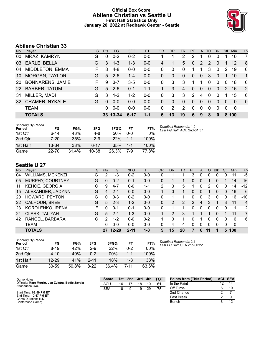## **Official Box Score Abilene Christian vs Seattle U First Half Statistics Only January 20, 2022 at Redhawk Center - Seattle**



# **Abilene Christian 33**

| No.       | Player                  | S. | <b>Pts</b> | FG.      | 3FG      | <b>FT</b> | <b>OR</b> | <b>DR</b> | TR           | PF            | $\mathsf{A}$          | TO.      | <b>Blk</b>     | Stl           | Min          | $+/-$          |
|-----------|-------------------------|----|------------|----------|----------|-----------|-----------|-----------|--------------|---------------|-----------------------|----------|----------------|---------------|--------------|----------------|
| 00        | MRAZ, KAMRYN            | G  | $\Omega$   | $0 - 2$  | $0 - 2$  | $0 - 0$   |           |           | 2            | 2             | 1                     |          | 0              |               | 10           | $\overline{7}$ |
| 03        | EARLE, BELLA            | G  | 3          | $1 - 3$  | $1 - 3$  | $0 - 0$   | 4         | 1         | 5            | 0             | $\mathbf{2}^{\prime}$ | 2        | 0              |               | 12           | 8              |
| 04        | MIDDLETON, EMMA         | F  | 8          | $4 - 8$  | $0 - 0$  | $0-0$     | 0         | $\Omega$  | 0            | 1             | 1                     | 3        | $\mathbf 0$    | 2             | 19           | 6              |
| 10        | <b>MORGAN, TAYLOR</b>   | G  | 5          | $2 - 6$  | $1 - 4$  | $0 - 0$   | 0         | $\Omega$  | $\Omega$     | $\Omega$      | $\overline{0}$        | 3        | 0              |               | 10           | $-1$           |
| <b>20</b> | <b>BONNARENS, JAMIE</b> | F. | 9          | $3 - 7$  | $3-5$    | $0 - 0$   | 0         | 3         | 3            |               | 1                     | $\Omega$ | $\overline{0}$ | $\Omega$      | 18           | 6              |
| <b>22</b> | <b>BARBER, TATUM</b>    | G  | 5          | $2 - 6$  | $0 - 1$  | $1 - 1$   |           | 3         | 4            | 0             | $\overline{0}$        | 0        | $\Omega$       | $\mathcal{P}$ | 16           | $-2$           |
| 31        | MILLER, MADI            | G  | 3          | $1 - 2$  | $1 - 2$  | $0 - 0$   | 0         | 3         | 3            | $\mathcal{P}$ | 4                     | $\Omega$ | $\Omega$       |               | 15           | 6              |
| 32        | <b>CRAMER, NYKALE</b>   | G  | $\Omega$   | $0 - 0$  | $0 - 0$  | $0 - 0$   | 0         | $\Omega$  | $\mathbf{0}$ | $\Omega$      | $\overline{0}$        | $\Omega$ | $\Omega$       | $\Omega$      | $\Omega$     | $\mathbf{0}$   |
|           | <b>TEAM</b>             |    | 0          | $0 - 0$  | $0-0$    | $0 - 0$   | 0         | 2         | 2            | $\Omega$      | $\mathbf{0}$          | $\Omega$ | $\mathbf 0$    | 0             | $\mathbf{0}$ |                |
|           | <b>TOTALS</b>           |    |            | 33 13-34 | $6 - 17$ | $1 - 1$   | 6         | 13        | 19           | 6             | 9                     | 8        | $\bf{0}$       |               | 8 100        |                |

| Shooting By Period<br>Period | FG        | FG%   | 3FG       | 3FG%  | FT      | FT%   |
|------------------------------|-----------|-------|-----------|-------|---------|-------|
| 1st Qtr                      | $6 - 14$  | 43%   | 4-8       | 50%   | $0 - 0$ | $0\%$ |
| 2nd Qtr                      | $7 - 20$  | 35%   | $2 - 9$   | 22%   | $1 - 1$ | 100%  |
| 1st Half                     | $13 - 34$ | 38%   | $6 - 17$  | 35%   | $1 - 1$ | 100%  |
| Game                         | $22 - 70$ | 31.4% | $10 - 38$ | 26.3% | 7-9     | 77.8% |

*Deadball Rebounds:* 1,0 *Last FG Half:* ACU 2nd-01:37

# **Seattle U 27**

| No. | Plaver                | S | <b>Pts</b>    | FG      | 3FG      | <b>FT</b> | <b>OR</b> | DR | TR | PF            | A | TO | <b>Blk</b> | Stl      | Min | $+/-$          |
|-----|-----------------------|---|---------------|---------|----------|-----------|-----------|----|----|---------------|---|----|------------|----------|-----|----------------|
| 04  | WILLIAMS, MCKENZI     | G | 2             | 1-3     | $0 - 2$  | $0 - 0$   |           |    |    | 3             | 0 | 0  | 0          | 0        | 11  | $-5$           |
| 05  | MURPHY, COURTNEY      | G | 0             | $0 - 2$ | $0 - 1$  | $0 - 0$   | 0         |    |    | 0             | 0 |    |            |          | 14  | $-16$          |
| 11  | <b>KEHOE, GEORGIA</b> | С | 9             | $4 - 7$ | $0 - 0$  | 1-1       | 2         | 3  | 5  |               | 0 | 2  | 0          | 0        | 14  | $-12$          |
| 15  | ALEXANDER, JADYNN     | G | 4             | $2 - 4$ | $0 - 0$  | $0 - 0$   |           | 0  |    | 0             | 0 |    | $\Omega$   | $\Omega$ | 16  | -6             |
| 20  | HOWARD, PEYTON        | G | 0             | $0 - 3$ | $0 - 2$  | $0 - 0$   | 0         |    |    | 0             | 0 | 3  | $\Omega$   | $\Omega$ | 16  | $-10$          |
| 22  | CALHOUN, BREE         | G | 5             | $2 - 3$ | $1-2$    | $0 - 0$   | 0         | 2  | 2  | $\mathcal{P}$ | 4 | 3  |            | 3        | 11  | $\overline{4}$ |
| -23 | KOROLENKO, IRENA      | F | 0             | $0 - 1$ | $0 - 1$  | $0 - 0$   | O         |    |    | 0             | 0 | 0  | $\Omega$   | 0        | 1   | 2              |
| 24  | CLARK, TALIYAH        | G | 5             | $2 - 4$ | $1 - 3$  | $0 - 0$   |           | 2  | 3  |               |   |    | 0          |          | 11  | 7              |
| 42  | RANGEL, BARBARA       | С | $\mathcal{P}$ | $1 - 2$ | $0 - 0$  | $0 - 2$   |           | O  |    | 0             |   | 0  | 0          | 0        | 6   | 6              |
|     | <b>TEAM</b>           |   | 0             | $0 - 0$ | $0 - 0$  | $0 - 0$   | 0         | 4  | 4  | $\Omega$      | 0 | 0  | $\Omega$   | $\Omega$ | 0   |                |
|     | <b>TOTALS</b>         |   | 27.           | $12-29$ | $2 - 11$ | $1 - 3$   | 5         | 15 | 20 |               | 6 | 11 |            | 5        | 100 |                |

| <b>Shooting By Period</b><br>Period | FG        | FG%   | 3FG      | 3FG%   | FТ      | FT%    |
|-------------------------------------|-----------|-------|----------|--------|---------|--------|
| 1st Otr                             | $8 - 19$  | 42%   | $2-9$    | 22%    | በ-2     | $00\%$ |
| 2nd Qtr                             | $4 - 10$  | 40%   | $0 - 2$  | $00\%$ | 1-1     | 100%   |
| 1st Half                            | $12 - 29$ | 41%   | $2 - 11$ | 18%    | $1 - 3$ | 33%    |
| Game                                | $30 - 59$ | 50.8% | 8-22     | 36.4%  | 7-11    | 63.6%  |

*Deadball Rebounds:* 2,1 *Last FG Half:* SEA 2nd-00:22

| Game Notes:                                                           | <b>Score</b> | 1st. | 2nd | 3rd | 4th | <b>TOT</b> | <b>Points from (This Period)</b> | <b>ACU SEA</b> |
|-----------------------------------------------------------------------|--------------|------|-----|-----|-----|------------|----------------------------------|----------------|
| Officials: Marc Merritt, Jen Zylstra, Eddie Zavala<br>Attendance: 236 | ACU          | 16   |     | 18  | 10  | 61         | In the Paint                     |                |
|                                                                       | <b>SEA</b>   | 18   |     | 19  | 29  | 75         | Off Turns                        |                |
| Start Time: 08:59 PM ET                                               |              |      |     |     |     |            | 2nd Chance                       |                |
| End Time: 10:47 PM ET<br>Game Duration: 1:47                          |              |      |     |     |     |            | Fast Break                       |                |
| Conference Game:                                                      |              |      |     |     |     |            | Bench                            |                |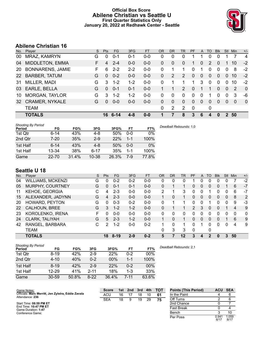## **Official Box Score Abilene Christian vs Seattle U First Quarter Statistics Only January 20, 2022 at Redhawk Center - Seattle**



# **Abilene Christian 16**

| No. | Player                  | S  | <b>Pts</b> | FG.     | 3FG     | <b>FT</b> | <b>OR</b> | <b>DR</b>      | TR             | PF       | A            | TO       | <b>Blk</b> | <b>Stl</b>   | <b>Min</b> | $+/-$          |
|-----|-------------------------|----|------------|---------|---------|-----------|-----------|----------------|----------------|----------|--------------|----------|------------|--------------|------------|----------------|
| 00  | MRAZ, KAMRYN            | G  | $\Omega$   | $0 - 1$ | $0 - 1$ | $0 - 0$   | 0         | 0              | 0              |          |              | 0        | 0          |              |            | $\overline{4}$ |
| 04  | MIDDLETON, EMMA         | F  | 4          | $2 - 4$ | $0 - 0$ | $0-0$     | 0         | 0              | 0              | 1        | $\Omega$     | 2        | 0          |              | 10         | $-2$           |
| 20  | <b>BONNARENS, JAMIE</b> | F. | 6          | $2 - 2$ | $2 - 2$ | $0 - 0$   | $\Omega$  |                | 1              | $\Omega$ |              | 0        | 0          | $\Omega$     | 8          | $-2$           |
| 22  | <b>BARBER, TATUM</b>    | G  | $\Omega$   | $0 - 2$ | $0 - 0$ | $0 - 0$   | 0         | $\overline{2}$ | 2              | 0        | $\mathbf{0}$ | $\Omega$ | $\Omega$   | $\Omega$     | 10         | $-2$           |
| 31  | MILLER, MADI            | G  | 3          | $1 - 2$ | $1 - 2$ | $0-0$     | $\Omega$  | 1              | 1              | 1        | 3            | 0        | $\Omega$   | 0            | 10         | $-2$           |
| 03  | EARLE, BELLA            | G  | $\Omega$   | $0 - 1$ | $0 - 1$ | $0 - 0$   |           |                | $\overline{2}$ | 0        |              | 1        | $\Omega$   | $\Omega$     | 2          | $\mathbf 0$    |
| 10  | <b>MORGAN, TAYLOR</b>   | G  | 3          | $1 - 2$ | $1 - 2$ | $0-0$     | 0         | 0              | $\Omega$       | 0        | $\Omega$     | 1        | $\Omega$   | 0            | 3          | -6             |
| 32  | <b>CRAMER, NYKALE</b>   | G  | $\Omega$   | $0 - 0$ | $0 - 0$ | $0 - 0$   | $\Omega$  | $\mathbf{0}$   | $\mathbf{0}$   | 0        | $\mathbf{0}$ | 0        | $\Omega$   | $\Omega$     | $\Omega$   | $\mathbf{0}$   |
|     | <b>TEAM</b>             |    |            |         |         |           | 0         | $\overline{2}$ | 2              | 0        |              | 0        |            |              |            |                |
|     | <b>TOTALS</b>           |    | 16.        | 6-14    | $4 - 8$ | $0 - 0$   |           | 7              | 8              | 3        | 6            | 4        | 0          | $\mathbf{P}$ | 50         |                |
|     |                         |    |            |         |         |           |           |                |                |          |              |          |            |              |            |                |

| <b>Shooting By Period</b><br>Period | FG        | FG%   | 3FG      | 3FG%  | FT      | FT%   | Deadball Rebounds: 1,0 |
|-------------------------------------|-----------|-------|----------|-------|---------|-------|------------------------|
| 1st Qtr                             | $6 - 14$  | 43%   | 4-8      | 50%   | $0 - 0$ | 0%    |                        |
| 2nd Qtr                             | $7 - 20$  | 35%   | $2-9$    | 22%   | $1 - 1$ | 100%  |                        |
| 1st Half                            | $6-14$    | 43%   | $4 - 8$  | 50%   | $0 - 0$ | 0%    |                        |
| 1st Half                            | $13 - 34$ | 38%   | $6 - 17$ | 35%   | 1-1     | 100%  |                        |
| Game                                | 22.70     | 31.4% | 10-38    | 26.3% | 7-9     | 77.8% |                        |

# **Seattle U 18**

| No. | Player                   | S  | <b>Pts</b> | FG       | 3FG     | <b>FT</b> | <b>OR</b> | DR | TR | PF             | A        | TO       | <b>Blk</b> | Stl | Min      | $+/-$        |
|-----|--------------------------|----|------------|----------|---------|-----------|-----------|----|----|----------------|----------|----------|------------|-----|----------|--------------|
| 04  | <b>WILLIAMS, MCKENZI</b> | G  | $\Omega$   | $0 - 2$  | $0 - 2$ | $0-0$     | 0         | 0  | 0  |                | 0        | ∩        | 0          | 0   |          | $-2$         |
| 05  | MURPHY, COURTNEY         | G  | 0          | $0 - 1$  | $0 - 1$ | $0-0$     | $\Omega$  |    |    | 0              | 0        | 0        | 0          |     | 6        | $-7$         |
| 11  | <b>KEHOE, GEORGIA</b>    | С  | 4          | $2 - 3$  | $0 - 0$ | $0-0$     | 2         |    | 3  | 0              | 0        |          |            | 0   | 6        | -7           |
| 15  | ALEXANDER, JADYNN        | G  | 4          | $2 - 3$  | $0 - 0$ | $0 - 0$   |           | 0  | 1. | 0              | 0        | 0        | 0          | 0   | 8        | 2            |
| 20  | HOWARD, PEYTON           | G  | U          | $0 - 3$  | $0 - 2$ | $0 - 0$   | 0         |    | 1  | 0              | 0        |          |            | 0   | 9        | -3           |
| 22  | CALHOUN, BREE            | G  | 3          | $1 - 2$  | $1 - 2$ | $0-0$     | 0         |    |    | $\overline{2}$ | 3        | $\Omega$ | 0          |     | 4        | 9            |
| 23  | KOROLENKO, IRENA         | F. | 0          | $0 - 0$  | $0 - 0$ | $0-0$     | 0         | 0  | 0  | 0              | $\Omega$ | 0        | 0          | 0   | $\Omega$ | $\mathbf{0}$ |
| 24  | CLARK, TALIYAH           | G  | 5          | $2 - 3$  | $1 - 2$ | $0 - 0$   |           | 0  |    | 0              | 0        | 0        | 0          |     | 6        | 9            |
| 42  | RANGEL, BARBARA          | C  | 2          | $1 - 2$  | $0 - 0$ | $0 - 2$   |           | 0  | 1  | 0              |          | 0        | 0          | 0   | 4        | 9            |
|     | <b>TEAM</b>              |    |            |          |         |           | 0         | 3  | 3  | 0              |          | 0        |            |     |          |              |
|     | <b>TOTALS</b>            |    | 18         | $8 - 19$ | $2 - 9$ | $0 - 2$   | 5         | 7  | 12 | 3              | 4        | 2        | n          | 3   | 50       |              |

| <b>Shooting By Period</b><br>Period | FG        | FG%   | 3FG      | 3FG%  | FT      | FT%   |
|-------------------------------------|-----------|-------|----------|-------|---------|-------|
| 1st Qtr                             | $8 - 19$  | 42%   | $2-9$    | 22%   | $0 - 2$ | 00%   |
| 2nd Qtr                             | $4 - 10$  | 40%   | $0 - 2$  | 00%   | 1-1     | 100%  |
| 1st Half                            | $8 - 19$  | 42%   | $2-9$    | 22%   | 0-2     | 00%   |
| 1st Half                            | $12 - 29$ | 41%   | $2 - 11$ | 18%   | $1 - 3$ | 33%   |
| Game                                | $30 - 59$ | 50.8% | $8 - 22$ | 36.4% | 7-11    | 63.6% |

| Game Notes:                                                           | <b>Score</b> | 1st | 2nd | 3rd | 4th | тот | <b>Points (This Period)</b> | ACU           | SEA           |
|-----------------------------------------------------------------------|--------------|-----|-----|-----|-----|-----|-----------------------------|---------------|---------------|
| Officials: Marc Merritt, Jen Zylstra, Eddie Zavala<br>Attendance: 236 | <b>ACU</b>   | 16  |     | 18  |     | 61  | In the Paint                |               |               |
|                                                                       | <b>SEA</b>   | 18  |     | 19  | 29  | 75  | Off Turns                   |               |               |
| Start Time: 08:59 PM ET                                               |              |     |     |     |     |     | 2nd Chance                  |               |               |
| End Time: 10:47 PM ET<br>Game Duration: 1:47                          |              |     |     |     |     |     | <b>Fast Break</b>           |               |               |
| Conference Game:                                                      |              |     |     |     |     |     | Bench                       |               | 10            |
|                                                                       |              |     |     |     |     |     | Per Poss                    | 0.941<br>6/17 | 1.059<br>8/17 |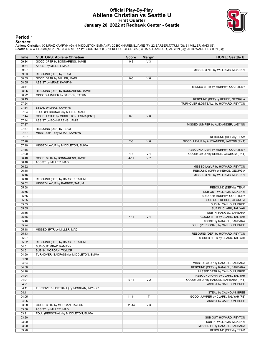## **Official Play-By-Play Abilene Christian vs Seattle U First Quarter January 20, 2022 at Redhawk Center - Seattle**



#### **Period 1**

#### **Starters:**

Abilene Christian: 00 MRAZ,KAMRYN (G); 4 MIDDLETON,EMMA (F); 20 BONNARENS,JAMIE (F); 22 BARBER,TATUM (G); 31 MILLER,MADI (G);<br>Seattle U: 4 WILLIAMS,MCKENZI (G); 5 MURPHY,COURTNEY (G); 11 KEHOE,GEORGIA (C); 15 ALEXANDER,JAD

| Time           | <b>VISITORS: Abilene Christian</b>    | <b>Score</b> | <b>Margin</b>  | <b>HOME: Seattle U</b>                                                  |
|----------------|---------------------------------------|--------------|----------------|-------------------------------------------------------------------------|
| 09:34          | GOOD! 3PTR by BONNARENS, JAMIE        | $0-3$        | $V_3$          |                                                                         |
| 09:34          | ASSIST by MILLER, MADI                |              |                |                                                                         |
| 09:07          |                                       |              |                | MISSED 3PTR by WILLIAMS, MCKENZI                                        |
| 09:03          | REBOUND (DEF) by TEAM                 |              |                |                                                                         |
| 08:55          | GOOD! 3PTR by MILLER, MADI            | $0-6$        | $V_6$          |                                                                         |
| 08:55          | ASSIST by MRAZ, KAMRYN                |              |                |                                                                         |
| 08:31          |                                       |              |                | MISSED 3PTR by MURPHY, COURTNEY                                         |
| 08:25          | REBOUND (DEF) by BONNARENS, JAMIE     |              |                |                                                                         |
| 08:22          | MISSED JUMPER by BARBER, TATUM        |              |                |                                                                         |
| 08:13          |                                       |              |                | REBOUND (DEF) by KEHOE, GEORGIA                                         |
| 07:54          | STEAL by MRAZ, KAMRYN                 |              |                | TURNOVER (LOSTBALL) by HOWARD, PEYTON                                   |
| 07:54<br>07:54 | FOUL (PERSONAL) by MILLER, MADI       |              |                |                                                                         |
| 07:44          | GOOD! LAYUP by MIDDLETON, EMMA [PNT]  | $0 - 8$      | V8             |                                                                         |
| 07:44          | ASSIST by BONNARENS, JAMIE            |              |                |                                                                         |
| 07:37          |                                       |              |                | MISSED JUMPER by ALEXANDER, JADYNN                                      |
| 07:37          | REBOUND (DEF) by TEAM                 |              |                |                                                                         |
| 07:37          | MISSED 3PTR by MRAZ, KAMRYN           |              |                |                                                                         |
| 07:37          |                                       |              |                | REBOUND (DEF) by TEAM                                                   |
| 07:28          |                                       | $2 - 8$      | $V_6$          | GOOD! LAYUP by ALEXANDER, JADYNN [PNT]                                  |
| 07:19          | MISSED LAYUP by MIDDLETON, EMMA       |              |                |                                                                         |
| 07:16          |                                       |              |                | REBOUND (DEF) by MURPHY, COURTNEY                                       |
| 07:00          |                                       | $4 - 8$      | V <sub>4</sub> | GOOD! LAYUP by KEHOE, GEORGIA [PNT]                                     |
| 06:48          | GOOD! 3PTR by BONNARENS, JAMIE        | $4 - 11$     | V <sub>7</sub> |                                                                         |
| 06:48          | ASSIST by MILLER, MADI                |              |                |                                                                         |
| 06:22          |                                       |              |                | MISSED LAYUP by HOWARD, PEYTON                                          |
| 06:18          |                                       |              |                | REBOUND (OFF) by KEHOE, GEORGIA                                         |
| 06:16          |                                       |              |                | MISSED 3PTR by WILLIAMS, MCKENZI                                        |
| 06:10          | REBOUND (DEF) by BARBER, TATUM        |              |                |                                                                         |
| 06:02          | MISSED LAYUP by BARBER, TATUM         |              |                |                                                                         |
| 05:58          |                                       |              |                | REBOUND (DEF) by TEAM                                                   |
| 05:55<br>05:55 |                                       |              |                | SUB OUT: WILLIAMS, MCKENZI<br>SUB OUT: MURPHY, COURTNEY                 |
| 05:55          |                                       |              |                | SUB OUT: KEHOE, GEORGIA                                                 |
| 05:55          |                                       |              |                | SUB IN: CALHOUN, BREE                                                   |
| 05:55          |                                       |              |                | SUB IN: CLARK, TALIYAH                                                  |
| 05:55          |                                       |              |                | SUB IN: RANGEL, BARBARA                                                 |
| 05:46          |                                       | $7 - 11$     | V <sub>4</sub> | GOOD! 3PTR by CLARK, TALIYAH                                            |
| 05:46          |                                       |              |                | ASSIST by RANGEL, BARBARA                                               |
| 05:24          |                                       |              |                | FOUL (PERSONAL) by CALHOUN, BREE                                        |
| 05:18          | MISSED 3PTR by MILLER, MADI           |              |                |                                                                         |
| 05:13          |                                       |              |                | REBOUND (DEF) by HOWARD, PEYTON                                         |
| 05:07          |                                       |              |                | MISSED 3PTR by CLARK, TALIYAH                                           |
| 05:02          | REBOUND (DEF) by BARBER, TATUM        |              |                |                                                                         |
| 04:51          | SUB OUT: MRAZ, KAMRYN                 |              |                |                                                                         |
| 04:51          | SUB IN: MORGAN, TAYLOR                |              |                |                                                                         |
| 04:50          | TURNOVER (BADPASS) by MIDDLETON, EMMA |              |                |                                                                         |
| 04:50          |                                       |              |                |                                                                         |
| 04:34          |                                       |              |                | MISSED LAYUP by RANGEL, BARBARA                                         |
| 04:30          |                                       |              |                | REBOUND (OFF) by RANGEL, BARBARA                                        |
| 04:28          |                                       |              |                | MISSED 3PTR by CALHOUN, BREE                                            |
| 04:24          |                                       |              |                | REBOUND (OFF) by CLARK, TALIYAH<br>GOOD! LAYUP by RANGEL, BARBARA [PNT] |
| 04:21<br>04:21 |                                       | $9 - 11$     | V <sub>2</sub> | ASSIST by CALHOUN, BREE                                                 |
| 04:11          | TURNOVER (LOSTBALL) by MORGAN, TAYLOR |              |                |                                                                         |
| 04:11          |                                       |              |                | STEAL by CALHOUN, BREE                                                  |
| 04:05          |                                       | $11 - 11$    | $\mathsf{T}$   | GOOD! JUMPER by CLARK, TALIYAH [FB]                                     |
| 04:05          |                                       |              |                | ASSIST by CALHOUN, BREE                                                 |
| 03:38          | GOOD! 3PTR by MORGAN, TAYLOR          | $11 - 14$    | $V_3$          |                                                                         |
| 03:38          | ASSIST by MILLER, MADI                |              |                |                                                                         |
| 03:21          | FOUL (PERSONAL) by MIDDLETON, EMMA    |              |                |                                                                         |
| 03:20          |                                       |              |                | SUB OUT: HOWARD, PEYTON                                                 |
| 03:20          |                                       |              |                | SUB IN: WILLIAMS, MCKENZI                                               |
| 03:20          |                                       |              |                | MISSED FT by RANGEL, BARBARA                                            |
| 03:20          |                                       |              |                | REBOUND (OFF) by TEAM                                                   |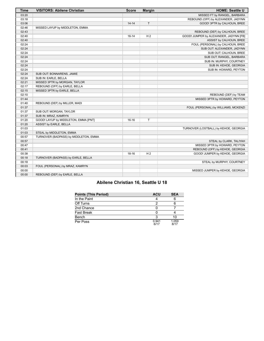| <b>Time</b> | <b>VISITORS: Abilene Christian</b>    | <b>Score</b> | <b>Margin</b>  | <b>HOME: Seattle U</b>                 |
|-------------|---------------------------------------|--------------|----------------|----------------------------------------|
| 03:20       |                                       |              |                | MISSED FT by RANGEL, BARBARA           |
| 03:18       |                                       |              |                | REBOUND (OFF) by ALEXANDER, JADYNN     |
| 03:06       |                                       | $14 - 14$    | T.             | GOOD! 3PTR by CALHOUN, BREE            |
| 02:46       | MISSED LAYUP by MIDDLETON, EMMA       |              |                |                                        |
| 02:43       |                                       |              |                | REBOUND (DEF) by CALHOUN, BREE         |
| 02:40       |                                       | $16 - 14$    | H <sub>2</sub> | GOOD! JUMPER by ALEXANDER, JADYNN [FB] |
| 02:40       |                                       |              |                | ASSIST by CALHOUN, BREE                |
| 02:24       |                                       |              |                | FOUL (PERSONAL) by CALHOUN, BREE       |
| 02:24       |                                       |              |                | SUB OUT: ALEXANDER, JADYNN             |
| 02:24       |                                       |              |                | SUB OUT: CALHOUN, BREE                 |
| 02:24       |                                       |              |                | SUB OUT: RANGEL, BARBARA               |
| 02:24       |                                       |              |                | SUB IN: MURPHY, COURTNEY               |
| 02:24       |                                       |              |                | SUB IN: KEHOE, GEORGIA                 |
| 02:24       |                                       |              |                | SUB IN: HOWARD, PEYTON                 |
| 02:24       | SUB OUT: BONNARENS, JAMIE             |              |                |                                        |
| 02:24       | SUB IN: EARLE, BELLA                  |              |                |                                        |
| 02:21       | MISSED 3PTR by MORGAN, TAYLOR         |              |                |                                        |
| 02:17       | REBOUND (OFF) by EARLE, BELLA         |              |                |                                        |
| 02:15       | MISSED 3PTR by EARLE, BELLA           |              |                |                                        |
| 02:10       |                                       |              |                | REBOUND (DEF) by TEAM                  |
| 01:44       |                                       |              |                | MISSED 3PTR by HOWARD, PEYTON          |
| 01:40       | REBOUND (DEF) by MILLER, MADI         |              |                |                                        |
| 01:37       |                                       |              |                | FOUL (PERSONAL) by WILLIAMS, MCKENZI   |
| 01:37       | SUB OUT: MORGAN, TAYLOR               |              |                |                                        |
| 01:37       | SUB IN: MRAZ, KAMRYN                  |              |                |                                        |
| 01:20       | GOOD! LAYUP by MIDDLETON, EMMA [PNT]  | $16 - 16$    | T              |                                        |
| 01:20       | ASSIST by EARLE, BELLA                |              |                |                                        |
| 01:03       |                                       |              |                | TURNOVER (LOSTBALL) by KEHOE, GEORGIA  |
| 01:03       | STEAL by MIDDLETON, EMMA              |              |                |                                        |
| 00:57       | TURNOVER (BADPASS) by MIDDLETON, EMMA |              |                |                                        |
| 00:57       |                                       |              |                | STEAL by CLARK, TALIYAH                |
| 00:47       |                                       |              |                | MISSED 3PTR by HOWARD, PEYTON          |
| 00:41       |                                       |              |                | REBOUND (OFF) by KEHOE, GEORGIA        |
| 00:38       |                                       | $18 - 16$    | H <sub>2</sub> | GOOD! JUMPER by KEHOE, GEORGIA         |
| 00:18       | TURNOVER (BADPASS) by EARLE, BELLA    |              |                |                                        |
| 00:18       |                                       |              |                | STEAL by MURPHY, COURTNEY              |
| 00:03       | FOUL (PERSONAL) by MRAZ, KAMRYN       |              |                |                                        |
| 00:00       |                                       |              |                | MISSED JUMPER by KEHOE, GEORGIA        |
| 00:00       | REBOUND (DEF) by EARLE, BELLA         |              |                |                                        |

# **Abilene Christian 16, Seattle U 18**

| <b>Points (This Period)</b> | <b>ACU</b>    | <b>SEA</b>    |
|-----------------------------|---------------|---------------|
| In the Paint                |               |               |
| Off Turns                   |               |               |
| 2nd Chance                  |               |               |
| <b>Fast Break</b>           |               |               |
| Bench                       |               | 10            |
| Per Poss                    | 0.941<br>6/17 | 1.059<br>8/17 |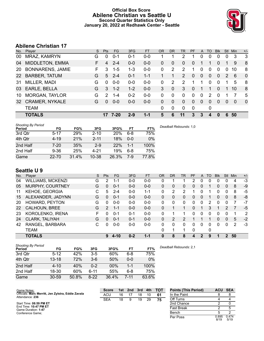## **Official Box Score Abilene Christian vs Seattle U Second Quarter Statistics Only January 20, 2022 at Redhawk Center - Seattle**



# **Abilene Christian 17**

| No.       | Player                  | S  | <b>Pts</b> | FG.     | 3FG     | <b>FT</b> | <b>OR</b> | <b>DR</b>    | TR                    | <b>PF</b> | A            | TO       | <b>Blk</b> | Stl      | Min      | $+/-$       |
|-----------|-------------------------|----|------------|---------|---------|-----------|-----------|--------------|-----------------------|-----------|--------------|----------|------------|----------|----------|-------------|
| 00        | MRAZ, KAMRYN            | G  | $\Omega$   | $0 - 1$ | $0 - 1$ | $0 - 0$   |           |              | $\overline{2}$        |           |              | 0        | 0          | 0        | 3        | 3           |
| 04        | <b>MIDDLETON, EMMA</b>  | F  | 4          | $2 - 4$ | $0 - 0$ | $0 - 0$   | 0         | $\Omega$     | 0                     | 0         |              | 1        | $\Omega$   |          | 9        | 8           |
| 20        | <b>BONNARENS, JAMIE</b> | F. | 3          | $1 - 5$ | $1 - 3$ | $0 - 0$   | 0         | 2            | 2                     |           | $\mathbf 0$  | 0        | $\Omega$   | $\Omega$ | 10       | 8           |
| <b>22</b> | <b>BARBER, TATUM</b>    | G  | 5          | $2 - 4$ | $0 - 1$ | $1 - 1$   |           |              | $\mathbf{2}^{\prime}$ | 0         | $\mathbf{0}$ | $\Omega$ | $\Omega$   | 2        | 6        | $\mathbf 0$ |
| 31        | MILLER, MADI            | G  | $\Omega$   | $0-0$   | $0-0$   | $0-0$     | 0         | 2            | 2                     | 1         |              | 0        | $\Omega$   |          | 5        | 8           |
| 03        | EARLE, BELLA            | G  | 3          | $1 - 2$ | $1 - 2$ | $0 - 0$   | 3         | $\Omega$     | 3                     | 0         |              | 1        | $\Omega$   |          | 10       | 8           |
| 10        | <b>MORGAN, TAYLOR</b>   | G  | 2          | 1-4     | $0 - 2$ | $0-0$     | 0         | 0            | 0                     | 0         | $\mathbf 0$  | 2        | $\Omega$   |          | 7        | 5           |
| 32        | <b>CRAMER, NYKALE</b>   | G  | $\Omega$   | $0 - 0$ | $0 - 0$ | $0 - 0$   | 0         | $\mathbf{0}$ | $\Omega$              | 0         | $\mathbf{0}$ | 0        | $\Omega$   | $\Omega$ | $\Omega$ | $\mathbf 0$ |
|           | <b>TEAM</b>             |    |            |         |         |           | 0         | 0            | 0                     | 0         |              | 0        |            |          |          |             |
|           | <b>TOTALS</b>           |    | 17         | 7-20    | $2 - 9$ | $1 - 1$   | 5         | 6            | 11                    | 3         | 3            | 4        | 0          | 6        | 50       |             |
|           |                         |    |            |         |         |           |           |              |                       |           |              |          |            |          |          |             |

| <b>Shooting By Period</b><br>Period | FG        | FG%   | 3FG       | 3FG%       | FT      | FT%   |
|-------------------------------------|-----------|-------|-----------|------------|---------|-------|
| 3rd Qtr                             | $5 - 17$  | 29%   | $2 - 10$  | <b>20%</b> | $6 - 8$ | 75%   |
| 4th Qtr                             | $4 - 19$  | 21%   | $2 - 11$  | 18%        | $0 - 0$ | 0%    |
| 2nd Half                            | 7-20      | 35%   | $2-9$     | 22%        | 1-1     | 100%  |
| 2nd Half                            | $9 - 36$  | 25%   | $4 - 21$  | 19%        | 6-8     | 75%   |
| Game                                | $22 - 70$ | 31.4% | $10 - 38$ | 26.3%      | 7-9     | 77.8% |

# **Seattle U 9**

| No. | Plaver                   | S  | <b>Pts</b>     | FG      | 3FG     | <b>FT</b> | <b>OR</b> | <b>DR</b> | TR | <b>PF</b> | A                | TO | <b>Blk</b> | Stl            | Min | $+/-$ |
|-----|--------------------------|----|----------------|---------|---------|-----------|-----------|-----------|----|-----------|------------------|----|------------|----------------|-----|-------|
| 04  | <b>WILLIAMS, MCKENZI</b> | G  | 2              | 1-1     | $0-0$   | $0-0$     | 0         |           |    | 2         | 0                | 0  | 0          | 0              | 4   | $-3$  |
| 05  | MURPHY, COURTNEY         | G  | 0              | $0 - 1$ | $0 - 0$ | $0 - 0$   | 0         | 0         | 0  | 0         | 0                |    | 0          | 0              | 8   | -9    |
| 11  | <b>KEHOE, GEORGIA</b>    | С  | 5              | $2 - 4$ | $0 - 0$ | 1-1       | 0         | 2         | 2  |           | 0                |    |            | 0              | 8   | -5    |
| 15  | ALEXANDER, JADYNN        | G  | 0              | $0 - 1$ | $0 - 0$ | $0-0$     | 0         | 0         | 0  | 0         | 0                |    | 0          | 0              | 8   | -8    |
| 20  | HOWARD, PEYTON           | G  | <sup>0</sup>   | $0 - 0$ | $0 - 0$ | $0 - 0$   | 0         | 0         | 0  | 0         | 0                | 2  |            | 0              |     | -7    |
| 22  | CALHOUN, BREE            | G  | $\overline{2}$ | 1-1     | $0 - 0$ | $0 - 0$   | 0         |           |    | 0         |                  | 3  |            | $\overline{2}$ |     | $-5$  |
| 23  | KOROLENKO, IRENA         | F. | 0              | $0 - 1$ | $0 - 1$ | $0 - 0$   | 0         |           | 1  | 0         | 0                | 0  | 0          | 0              |     | 2     |
| 24  | CLARK, TALIYAH           | G  | $\Omega$       | $0 - 1$ | $0 - 1$ | $0 - 0$   | 0         | 2         | 2  |           |                  |    | 0          | 0              | 5   | $-2$  |
| 42  | RANGEL, BARBARA          | С  | 0              | $0 - 0$ | $0 - 0$ | $0-0$     | 0         | 0         | 0  | 0         | $\Omega$         | 0  | 0          | 0              | 2   | -3    |
|     | TEAM                     |    |                |         |         |           | 0         | 1         | 1  | 0         |                  | 0  |            |                |     |       |
|     | <b>TOTALS</b>            |    | 9              | 4-10    | $0 - 2$ | $1 - 1$   | 0         | 8         | 8  | 4         | $\boldsymbol{P}$ | 9  |            | 2              | 50  |       |

| <b>Shooting By Period</b><br>Period | FG        | FG%   | 3FG      | 3FG%  | FT       | FT%   | Deadball Rebounds: 2,1 |
|-------------------------------------|-----------|-------|----------|-------|----------|-------|------------------------|
| 3rd Qtr                             | $5 - 12$  | 42%   | $3 - 5$  | 60%   | $6 - 8$  | 75%   |                        |
| 4th Qtr                             | $13 - 18$ | 72%   | $3-6$    | 50%   | $0 - 0$  | 0%    |                        |
| 2nd Half                            | $4 - 10$  | 40%   | $0 - 2$  | 00%   | 1-1      | 100%  |                        |
| 2nd Half                            | 18-30     | 60%   | 6-11     | 55%   | $6 - 8$  | 75%   |                        |
| Game                                | $30 - 59$ | 50.8% | $8 - 22$ | 36.4% | $7 - 11$ | 63.6% |                        |

| Game Notes:                                                           | <b>Score</b> |    | 1st 2nd | 3rd | 4th | <b>TOT</b> | <b>Points (This Period)</b> | <b>ACU</b>    | SEA           |
|-----------------------------------------------------------------------|--------------|----|---------|-----|-----|------------|-----------------------------|---------------|---------------|
| Officials: Marc Merritt, Jen Zylstra, Eddie Zavala<br>Attendance: 236 | <b>ACU</b>   | 16 |         | 18  | 10  | 61         | In the Paint                |               |               |
|                                                                       | <b>SEA</b>   | 18 |         | 19  | 29  | 75         | Off Turns                   |               |               |
| Start Time: 08:59 PM ET                                               |              |    |         |     |     |            | 2nd Chance                  |               |               |
| End Time: 10:47 PM ET<br>Game Duration: 1:47                          |              |    |         |     |     |            | <b>Fast Break</b>           |               |               |
| Conference Game:                                                      |              |    |         |     |     |            | Bench                       |               |               |
|                                                                       |              |    |         |     |     |            | Per Poss                    | 0.895<br>8/19 | 0.474<br>5/19 |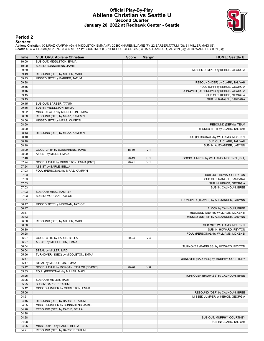## **Official Play-By-Play Abilene Christian vs Seattle U Second Quarter January 20, 2022 at Redhawk Center - Seattle**



#### **Period 2**

#### **Starters:**

Abilene Christian: 00 MRAZ,KAMRYN (G); 4 MIDDLETON,EMMA (F); 20 BONNARENS,JAMIE (F); 22 BARBER,TATUM (G); 31 MILLER,MADI (G);<br>Seattle U: 4 WILLIAMS,MCKENZI (G); 5 MURPHY,COURTNEY (G); 11 KEHOE,GEORGIA (C); 15 ALEXANDER,JAD

| Time  | <b>VISITORS: Abilene Christian</b>     | <b>Score</b> | <b>Margin</b>  | <b>HOME: Seattle U</b>                  |
|-------|----------------------------------------|--------------|----------------|-----------------------------------------|
| 10:00 | SUB OUT: MIDDLETON, EMMA               |              |                |                                         |
| 10:00 | SUB IN: BONNARENS, JAMIE               |              |                |                                         |
| 09:59 |                                        |              |                | MISSED JUMPER by KEHOE, GEORGIA         |
| 09:49 | REBOUND (DEF) by MILLER, MADI          |              |                |                                         |
| 09:43 | MISSED 3PTR by BARBER, TATUM           |              |                |                                         |
| 09:38 |                                        |              |                | REBOUND (DEF) by CLARK, TALIYAH         |
| 09:15 |                                        |              |                | FOUL (OFF) by KEHOE, GEORGIA            |
| 09:15 |                                        |              |                | TURNOVER (OFFENSIVE) by KEHOE, GEORGIA  |
| 09:15 |                                        |              |                | SUB OUT: KEHOE, GEORGIA                 |
| 09:15 |                                        |              |                | SUB IN: RANGEL, BARBARA                 |
| 09:15 | SUB OUT: BARBER, TATUM                 |              |                |                                         |
| 09:15 | SUB IN: MIDDLETON, EMMA                |              |                |                                         |
| 09:02 | MISSED LAYUP by MIDDLETON, EMMA        |              |                |                                         |
| 08:58 | REBOUND (OFF) by MRAZ, KAMRYN          |              |                |                                         |
| 08:56 | MISSED 3PTR by MRAZ, KAMRYN            |              |                |                                         |
| 08:50 |                                        |              |                | REBOUND (DEF) by TEAM                   |
| 08:20 |                                        |              |                | MISSED 3PTR by CLARK, TALIYAH           |
| 08:13 | REBOUND (DEF) by MRAZ, KAMRYN          |              |                |                                         |
| 08:10 |                                        |              |                | FOUL (PERSONAL) by WILLIAMS, MCKENZI    |
| 08:10 |                                        |              |                | SUB OUT: CLARK, TALIYAH                 |
| 08:10 |                                        |              |                | SUB IN: ALEXANDER, JADYNN               |
| 08:09 | GOOD! 3PTR by BONNARENS, JAMIE         | 18-19        | V <sub>1</sub> |                                         |
| 08:09 | ASSIST by MILLER, MADI                 |              |                |                                         |
| 07:40 |                                        | $20-19$      | H <sub>1</sub> | GOOD! JUMPER by WILLIAMS, MCKENZI [PNT] |
| 07:24 | GOOD! LAYUP by MIDDLETON, EMMA [PNT]   | $20 - 21$    | V <sub>1</sub> |                                         |
| 07:24 | ASSIST by EARLE, BELLA                 |              |                |                                         |
| 07:03 | FOUL (PERSONAL) by MRAZ, KAMRYN        |              |                |                                         |
| 07:03 |                                        |              |                | SUB OUT: HOWARD, PEYTON                 |
| 07:03 |                                        |              |                | SUB OUT: RANGEL, BARBARA                |
| 07:03 |                                        |              |                | SUB IN: KEHOE, GEORGIA                  |
| 07:03 |                                        |              |                | SUB IN: CALHOUN, BREE                   |
| 07:03 | SUB OUT: MRAZ, KAMRYN                  |              |                |                                         |
| 07:03 | SUB IN: MORGAN, TAYLOR                 |              |                |                                         |
| 07:01 |                                        |              |                | TURNOVER (TRAVEL) by ALEXANDER, JADYNN  |
| 06:47 | MISSED 3PTR by MORGAN, TAYLOR          |              |                |                                         |
| 06:47 |                                        |              |                | BLOCK by CALHOUN, BREE                  |
| 06:37 |                                        |              |                | REBOUND (DEF) by WILLIAMS, MCKENZI      |
| 06:33 |                                        |              |                | MISSED JUMPER by ALEXANDER, JADYNN      |
| 06:30 | REBOUND (DEF) by MILLER, MADI          |              |                |                                         |
| 06:30 |                                        |              |                | SUB OUT: WILLIAMS, MCKENZI              |
| 06:30 |                                        |              |                | SUB IN: HOWARD, PEYTON                  |
| 06:28 |                                        |              |                | FOUL (PERSONAL) by WILLIAMS, MCKENZI    |
| 06:27 | GOOD! 3PTR by EARLE, BELLA             | $20 - 24$    | V <sub>4</sub> |                                         |
| 06:27 | ASSIST by MIDDLETON, EMMA              |              |                |                                         |
| 06:04 |                                        |              |                | TURNOVER (BADPASS) by HOWARD, PEYTON    |
| 06:04 | STEAL by MILLER, MADI                  |              |                |                                         |
| 05:56 | TURNOVER (3SEC) by MIDDLETON, EMMA     |              |                |                                         |
| 05:47 |                                        |              |                | TURNOVER (BADPASS) by MURPHY, COURTNEY  |
| 05:47 | STEAL by MIDDLETON, EMMA               |              |                |                                         |
| 05:42 | GOOD! LAYUP by MORGAN, TAYLOR [FB/PNT] | $20 - 26$    | $V_6$          |                                         |
| 05:33 | FOUL (PERSONAL) by MILLER, MADI        |              |                |                                         |
| 05:25 |                                        |              |                | TURNOVER (BADPASS) by CALHOUN, BREE     |
| 05:25 | SUB OUT: MILLER, MADI                  |              |                |                                         |
| 05:25 | SUB IN: BARBER, TATUM                  |              |                |                                         |
| 05:12 | MISSED JUMPER by MIDDLETON, EMMA       |              |                |                                         |
| 05:06 |                                        |              |                | REBOUND (DEF) by CALHOUN, BREE          |
| 04:51 |                                        |              |                | MISSED JUMPER by KEHOE, GEORGIA         |
| 04:45 | REBOUND (DEF) by BARBER, TATUM         |              |                |                                         |
| 04:35 | MISSED JUMPER by BONNARENS, JAMIE      |              |                |                                         |
| 04:28 | REBOUND (OFF) by EARLE, BELLA          |              |                |                                         |
| 04:28 |                                        |              |                |                                         |
| 04:28 |                                        |              |                | SUB OUT: MURPHY, COURTNEY               |
| 04:28 |                                        |              |                | SUB IN: CLARK, TALIYAH                  |
| 04:25 | MISSED 3PTR by EARLE, BELLA            |              |                |                                         |
| 04:21 | REBOUND (OFF) by BARBER, TATUM         |              |                |                                         |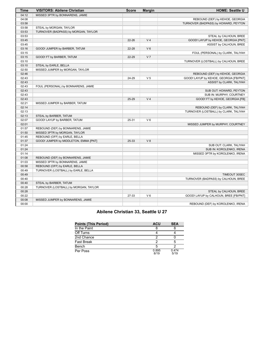| Time  | <b>VISITORS: Abilene Christian</b>    | <b>Score</b> | <b>Margin</b>  | <b>HOME: Seattle U</b>                 |
|-------|---------------------------------------|--------------|----------------|----------------------------------------|
| 04:12 | MISSED 3PTR by BONNARENS, JAMIE       |              |                |                                        |
| 04:08 |                                       |              |                | REBOUND (DEF) by KEHOE, GEORGIA        |
| 03:58 |                                       |              |                | TURNOVER (BADPASS) by HOWARD, PEYTON   |
| 03:58 | STEAL by MORGAN, TAYLOR               |              |                |                                        |
| 03:53 | TURNOVER (BADPASS) by MORGAN, TAYLOR  |              |                |                                        |
| 03:53 |                                       |              |                | STEAL by CALHOUN, BREE                 |
| 03:45 |                                       | $22 - 26$    | V <sub>4</sub> | GOOD! LAYUP by KEHOE, GEORGIA [PNT]    |
| 03:45 |                                       |              |                | ASSIST by CALHOUN, BREE                |
| 03:16 | GOOD! JUMPER by BARBER, TATUM         | $22 - 28$    | V <sub>6</sub> |                                        |
| 03:15 |                                       |              |                | FOUL (PERSONAL) by CLARK, TALIYAH      |
| 03:15 | GOOD! FT by BARBER, TATUM             | 22-29        | V <sub>7</sub> |                                        |
| 03:10 |                                       |              |                | TURNOVER (LOSTBALL) by CALHOUN, BREE   |
| 03:10 | STEAL by EARLE, BELLA                 |              |                |                                        |
| 02:50 | MISSED JUMPER by MORGAN, TAYLOR       |              |                |                                        |
| 02:46 |                                       |              |                | REBOUND (DEF) by KEHOE, GEORGIA        |
| 02:43 |                                       | 24-29        | V <sub>5</sub> | GOOD! LAYUP by KEHOE, GEORGIA [FB/PNT] |
| 02:43 |                                       |              |                | ASSIST by CLARK, TALIYAH               |
| 02:43 | FOUL (PERSONAL) by BONNARENS, JAMIE   |              |                |                                        |
| 02:43 |                                       |              |                | SUB OUT: HOWARD, PEYTON                |
| 02:43 |                                       |              |                | SUB IN: MURPHY, COURTNEY               |
| 02:43 |                                       | 25-29        | V <sub>4</sub> | GOOD! FT by KEHOE, GEORGIA [FB]        |
| 02:21 | MISSED JUMPER by BARBER, TATUM        |              |                |                                        |
| 02:14 |                                       |              |                | REBOUND (DEF) by CLARK, TALIYAH        |
| 02:13 |                                       |              |                | TURNOVER (LOSTBALL) by CLARK, TALIYAH  |
| 02:13 | STEAL by BARBER, TATUM                |              |                |                                        |
| 02:07 | GOOD! LAYUP by BARBER, TATUM          | 25-31        | $V_6$          |                                        |
| 02:01 |                                       |              |                | MISSED JUMPER by MURPHY, COURTNEY      |
| 01:57 | REBOUND (DEF) by BONNARENS, JAMIE     |              |                |                                        |
| 01:50 | MISSED 3PTR by MORGAN, TAYLOR         |              |                |                                        |
| 01:45 | REBOUND (OFF) by EARLE, BELLA         |              |                |                                        |
| 01:37 | GOOD! JUMPER by MIDDLETON, EMMA [PNT] | 25-33        | V8             |                                        |
| 01:24 |                                       |              |                | SUB OUT: CLARK, TALIYAH                |
| 01:24 |                                       |              |                | SUB IN: KOROLENKO, IRENA               |
| 01:14 |                                       |              |                | MISSED 3PTR by KOROLENKO, IRENA        |
| 01:08 | REBOUND (DEF) by BONNARENS, JAMIE     |              |                |                                        |
| 01:03 | MISSED 3PTR by BONNARENS, JAMIE       |              |                |                                        |
| 00:58 | REBOUND (OFF) by EARLE, BELLA         |              |                |                                        |
| 00:49 | TURNOVER (LOSTBALL) by EARLE, BELLA   |              |                |                                        |
| 00:49 |                                       |              |                | TIMEOUT 30SEC                          |
| 00:40 |                                       |              |                | TURNOVER (BADPASS) by CALHOUN, BREE    |
| 00:40 | STEAL by BARBER, TATUM                |              |                |                                        |
| 00:28 | TURNOVER (LOSTBALL) by MORGAN, TAYLOR |              |                |                                        |
| 00:28 |                                       |              |                | STEAL by CALHOUN, BREE                 |
| 00:22 |                                       | 27-33        | $V_6$          | GOOD! LAYUP by CALHOUN, BREE [FB/PNT]  |
| 00:08 | MISSED JUMPER by BONNARENS, JAMIE     |              |                |                                        |
| 00:00 |                                       |              |                | REBOUND (DEF) by KOROLENKO, IRENA      |

# **Abilene Christian 33, Seattle U 27**

| <b>Points (This Period)</b> | <b>ACU</b>    | <b>SEA</b>    |
|-----------------------------|---------------|---------------|
| In the Paint                |               |               |
| Off Turns                   |               |               |
| 2nd Chance                  |               |               |
| <b>Fast Break</b>           |               |               |
| Bench                       |               |               |
| Per Poss                    | 0.895<br>8/19 | 0.474<br>5/19 |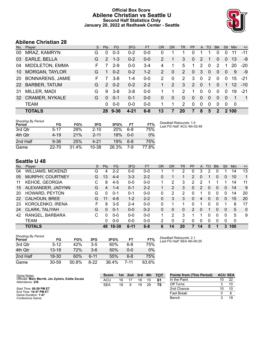# **Official Box Score Abilene Christian vs Seattle U Second Half Statistics Only January 20, 2022 at Redhawk Center - Seattle**



# **Abilene Christian 28**

| No.       | Player                  | S. | <b>Pts</b>    | <b>FG</b> | 3FG      | <b>FT</b> | <b>OR</b> | <b>DR</b> | <b>TR</b>             | PF            | $\mathsf{A}$ | TO           | <b>Blk</b>     | Stl          | <b>Min</b>      | $+/-$          |
|-----------|-------------------------|----|---------------|-----------|----------|-----------|-----------|-----------|-----------------------|---------------|--------------|--------------|----------------|--------------|-----------------|----------------|
| 00        | MRAZ, KAMRYN            | G  | 0             | $0 - 3$   | $0 - 2$  | $0 - 0$   | 0         |           |                       | 0             |              |              | 0              | 0            | 11              | $-11$          |
| 03        | EARLE, BELLA            | G  | 2             | $1 - 3$   | $0 - 2$  | $0 - 0$   | 2         |           | 3                     | 0             | 2            |              | 0              | 0            | 13              | -9             |
| 04        | MIDDLETON, EMMA         | F  | 7             | $2 - 9$   | $0-0$    | $3 - 4$   | 4         | 1         | 5                     | 1             | 2            | $\mathbf 0$  | 2              | 1            | 20              | $-20$          |
| 10        | <b>MORGAN, TAYLOR</b>   | G  |               | $0 - 2$   | $0 - 2$  | $1 - 2$   | 2         | $\Omega$  | $\mathbf{2}^{\prime}$ | $\Omega$      | 3            | $\mathbf{0}$ | $\Omega$       | $\mathbf{0}$ | 9               | -9             |
| <b>20</b> | <b>BONNARENS, JAMIE</b> | F  |               | $3 - 8$   | 1-4      | $0-0$     | 2         | $\Omega$  | $\overline{2}$        | 3             | $\mathbf{0}$ | 2            | $\mathbf 0$    | $\mathbf{0}$ | 15              | $-21$          |
| 22        | <b>BARBER, TATUM</b>    | G  | $\mathcal{P}$ | $0 - 2$   | $0 - 2$  | $2 - 2$   |           | 2         | 3                     | $\mathcal{P}$ | $\Omega$     |              | 0              |              | 12 <sup>°</sup> | $-10$          |
| -31       | MILLER, MADI            | G  | 9             | $3 - 8$   | $3-8$    | $0-0$     |           | 1         | 2                     |               | 0            | $\Omega$     | $\Omega$       | $\Omega$     | 19              | $-21$          |
| <b>32</b> | <b>CRAMER, NYKALE</b>   | G  | $\Omega$      | $0 - 1$   | $0 - 1$  | $0 - 0$   | 0         | $\Omega$  | $\Omega$              | $\Omega$      | $\Omega$     | 0            | 0              | $\Omega$     |                 | $\overline{1}$ |
|           | <b>TEAM</b>             |    | 0             | $0 - 0$   | $0-0$    | $0 - 0$   |           | 1         | 2                     | $\Omega$      | $\mathbf{0}$ | $\Omega$     | $\overline{0}$ | $\Omega$     | 0               |                |
|           | <b>TOTALS</b>           |    | 28            | $9 - 36$  | $4 - 21$ | $6 - 8$   | 13        |           | 20                    | 7             | 8            | 5            | $\mathbf{c}$   |              | <b>2100</b>     |                |

| <b>Shooting By Period</b><br>Period | FG        | FG%   | 3FG      | 3FG%  | FT      | FT%   | Deadball Rebounds: 1,0<br>Last FG Half: ACU 4th-02:46 |
|-------------------------------------|-----------|-------|----------|-------|---------|-------|-------------------------------------------------------|
| 3rd Qtr                             | $5 - 17$  | 29%   | $2 - 10$ | 20%   | $6 - 8$ | 75%   |                                                       |
| 4th Qtr                             | $4 - 19$  | 21%   | $2 - 11$ | 18%   | $0 - 0$ | $0\%$ |                                                       |
| 2nd Half                            | $9 - 36$  | 25%   | 4-21     | 19%   | 6-8     | 75%   |                                                       |
| Game                                | $22 - 70$ | 31.4% | 10-38    | 26.3% | 7-9     | 77.8% |                                                       |

# **Seattle U 48**

|     | <b>TOTALS</b>            |   | 48.        | 18-30   | $6 - 11$ | $6 - 8$   | 6         | 14        | 20 | 7         | 14 | 5  |             | 3        | 100 |                |
|-----|--------------------------|---|------------|---------|----------|-----------|-----------|-----------|----|-----------|----|----|-------------|----------|-----|----------------|
|     | TEAM                     |   | 0          | $0 - 0$ | $0 - 0$  | $0 - 0$   | າ         | 0         | 2  | 0         | 0  | 0  | $\Omega$    | 0        | 0   |                |
| 42  | RANGEL, BARBARA          | С | 0          | $0 - 0$ | $0 - 0$  | $0 - 0$   |           | 2         | 3  |           |    | 0  | 0           | 0        | 5   | -9             |
| 24  | <b>CLARK, TALIYAH</b>    | G | 0          | $0 - 1$ | $0 - 0$  | $0 - 2$   | 0         | 0         | 0  | 2         | 0  |    | 0           | 0        | 5   | $\overline{0}$ |
| 23  | KOROLENKO, IRENA         | F | 8          | $3 - 5$ | $2 - 4$  | $0 - 0$   | 0         |           |    | 0         | 1  | 0  | $\Omega$    |          | 8   | 17             |
| 22  | CALHOUN, BREE            | G | 11         | $4 - 8$ | $1 - 2$  | $2 - 2$   | 0         | 3         | 3  | 0         | 4  | 0  | $\Omega$    | 0        | 15  | 20             |
| 20  | HOWARD, PEYTON           | G | 0          | $0 - 1$ | $0 - 1$  | $0 - 0$   | 0         | 2         | 2  | U         | 1  | 0  | 0           | $\Omega$ | 14  | 20             |
| 15  | ALEXANDER, JADYNN        | G | 4          | $1 - 4$ | 0-1      | $2 - 2$   |           | 2         | 3  | 0         | 2  | 0  | $\Omega$    | 0        | 14  | 9              |
| 11  | KEHOE, GEORGIA           | С | 8          | $4 - 5$ | $0 - 0$  | $0 - 0$   |           | 2         | 3  | 2         | 2  |    |             |          | 14  | 11             |
| 05  | MURPHY, COURTNEY         | G | 13         | $4 - 4$ | $3 - 3$  | $2 - 2$   | 0         |           |    | 2         | 0  |    | 0           | 0        | 10  | 1              |
| 04  | <b>WILLIAMS, MCKENZI</b> | G | 4          | $2 - 2$ | 0-0      | $0-0$     |           |           | 2  | 0         | 3  | 2  |             |          | 14  | 13             |
| No. | Plaver                   | S | <b>Pts</b> | FG      | 3FG      | <b>FT</b> | <b>OR</b> | <b>DR</b> | TR | <b>PF</b> | A  | TO | <b>B</b> lk | Stl      | Min | $+/-$          |

| <b>Shooting By Period</b><br>Period | FG        | FG%   | 3FG   | 3FG%  | FТ      | FT%   |
|-------------------------------------|-----------|-------|-------|-------|---------|-------|
| 3rd Otr                             | $5 - 12$  | 42%   | 3-5   | 60%   | $6 - 8$ | 75%   |
| 4th Qtr                             | $13 - 18$ | 72%   | $3-6$ | 50%   | $0 - 0$ | $0\%$ |
| 2nd Half                            | 18-30     | 60%   | հ-11  | 55%   | 6-8     | 75%   |
| Game                                | $30 - 59$ | 50.8% | 8-22  | 36.4% | 7-11    | 63.6% |

*Deadball Rebounds:* 2,1 *Last FG Half:* SEA 4th-00:25

| Game Notes:                                                           | <b>Score</b> | 1st | 2 <sub>nd</sub> | 3rd | 4th | <b>TOT</b> | <b>Points from (This Period)</b> | <b>ACU SEA</b> |    |
|-----------------------------------------------------------------------|--------------|-----|-----------------|-----|-----|------------|----------------------------------|----------------|----|
| Officials: Marc Merritt, Jen Zylstra, Eddie Zavala<br>Attendance: 236 | ACU          | 16  |                 | 18  | 10  | -61        | In the Paint                     | 10             | 22 |
|                                                                       | <b>SEA</b>   | 18  |                 | 19  | 29  |            | Off Turns                        |                | 10 |
| Start Time: 08:59 PM ET                                               |              |     |                 |     |     |            | 2nd Chance                       | 10             | 10 |
| End Time: 10:47 PM ET<br>Game Duration: 1:47                          |              |     |                 |     |     |            | Fast Break                       |                |    |
| Conference Game;                                                      |              |     |                 |     |     |            | Bench                            |                | 19 |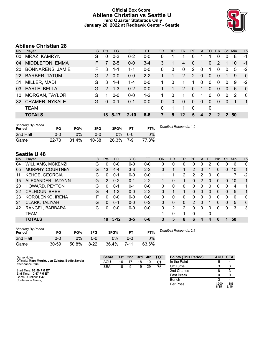## **Official Box Score Abilene Christian vs Seattle U Third Quarter Statistics Only January 20, 2022 at Redhawk Center - Seattle**



# **Abilene Christian 28**

| No.       | Plaver                  | S. | Pts           | FG.     | 3FG      | <b>FT</b> | 0R | <b>DR</b>    | <b>TR</b>     | <b>PF</b>     | A            | TO           | <b>Blk</b> | Stl         | Min | $+/-$          |
|-----------|-------------------------|----|---------------|---------|----------|-----------|----|--------------|---------------|---------------|--------------|--------------|------------|-------------|-----|----------------|
| 00        | MRAZ, KAMRYN            | G  | $\Omega$      | $0 - 3$ | $0 - 2$  | $0 - 0$   | 0  | 1            |               | 0             |              |              | 0          | $\Omega$    | 8   | -1             |
| 04        | <b>MIDDLETON, EMMA</b>  |    | 7             | $2 - 5$ | $0-0$    | $3 - 4$   | 3  |              | 4             | 0             |              | 0            | 2          |             | 10  | -1             |
| 20        | <b>BONNARENS, JAMIE</b> | F. | 3             | $1 - 1$ | 1-1      | $0-0$     | 0  | 0            | $\mathbf{0}$  | 2             | $\mathbf 0$  | 1            | 0          | 0           | 5   | $-2$           |
| <b>22</b> | <b>BARBER, TATUM</b>    | G  | $\mathcal{P}$ | $0 - 0$ | $0 - 0$  | $2 - 2$   |    | 1            | $\mathcal{P}$ | $\mathcal{P}$ | $\mathbf{0}$ | $\Omega$     | 0          |             | 9   | $\overline{0}$ |
| 31        | MILLER, MADI            | G  | 3             | $1 - 4$ | $1 - 4$  | $0-0$     |    | $\Omega$     |               |               | 0            | 0            | 0          | $\Omega$    | 9   | $-2$           |
| 03        | EARLE, BELLA            | G  | $\mathcal{P}$ | $1 - 3$ | $0 - 2$  | $0 - 0$   |    | 1            | 2             | $\Omega$      | 1            | $\Omega$     | $\Omega$   | $\Omega$    | 6   | $\mathbf 0$    |
| 10        | <b>MORGAN, TAYLOR</b>   | G  |               | $0 - 0$ | $0-0$    | $1 - 2$   |    | 0            | 1             | $\Omega$      | 1.           | 0            | $\Omega$   | $\Omega$    | 2   | $\Omega$       |
| 32        | <b>CRAMER, NYKALE</b>   | G  | $\Omega$      | $0 - 1$ | $0 - 1$  | $0 - 0$   | 0  | $\mathbf{0}$ | $\Omega$      | $\Omega$      | $\mathbf{0}$ | $\mathbf{0}$ | $\Omega$   | $\mathbf 0$ |     | $\sim$ 1       |
|           | <b>TEAM</b>             |    |               |         |          |           | 0  | 1            | 1             | $\Omega$      |              | 0            |            |             |     |                |
|           | <b>TOTALS</b>           |    |               | 18 5-17 | $2 - 10$ | $6 - 8$   | 7  | 5            | 12            | 5             | 4            | 2            | 2          | 2           | 50  |                |
|           |                         |    |               |         |          |           |    |              |               |               |              |              |            |             |     |                |

| <b>Shooting By Period</b><br>Period | FG    | FG%   | 3FG   | 3FG%  |         | FT%   | Deadball Rebounds: 1,0 |
|-------------------------------------|-------|-------|-------|-------|---------|-------|------------------------|
| 2nd Half                            | 0-0   | ጋ%    | 0-0   | 0%    | $0 - 0$ | 0%    |                        |
| Game                                | 22-70 | 31.4% | 10-38 | 26.3% | 7-9     | 77.8% |                        |

# **Seattle U 48**

| No. | Plaver                   | S | <b>Pts</b> | FG      | 3FG     | <b>FT</b> | 0R | DR | TR           | PF             | A            | TO       | <b>Blk</b> | Stl | Min | $+/-$        |
|-----|--------------------------|---|------------|---------|---------|-----------|----|----|--------------|----------------|--------------|----------|------------|-----|-----|--------------|
| 04  | <b>WILLIAMS, MCKENZI</b> | G | 0          | $0 - 0$ | $0 - 0$ | $0-0$     | 0  | 0  | 0            | 0              | 0            |          | 0          | 0   | 6   | 0            |
| 05  | <b>MURPHY, COURTNEY</b>  | G | 13         | $4 - 4$ | $3 - 3$ | $2 - 2$   | 0  |    | 1.           | $\overline{2}$ | 0            |          | 0          | 0   | 10  | 1.           |
| 11  | KEHOE, GEORGIA           | C | 0          | $0 - 1$ | $0 - 0$ | $0 - 0$   |    |    | 2            | 2              | 2            | 0        | 0          |     | 7   | $-2$         |
| 15  | ALEXANDER, JADYNN        | G | 2          | $0 - 2$ | $0 - 1$ | $2 - 2$   |    | 0  | 1            | 0              | 2            | $\Omega$ | 0          | 0   | 10  | 1            |
| 20  | HOWARD, PEYTON           | G | $\Omega$   | $0 - 1$ | $0 - 1$ | $0 - 0$   | 0  | 0  | $\mathbf{0}$ | 0              | 0            | 0        | 0          | 0   | 4   | 1            |
| 22  | CALHOUN, BREE            | G | 4          | $1 - 3$ | $0 - 0$ | $2 - 2$   | 0  |    | 1            | 0              | $\Omega$     | 0        | 0          | 0   | 5   | 1            |
| 23  | KOROLENKO, IRENA         | F | O          | $0 - 0$ | $0 - 0$ | $0 - 0$   | 0  | 0  | 0            | 0              | 0            | 0        |            | 0   | 0   | 0            |
| 24  | CLARK, TALIYAH           | G | 0          | $0 - 1$ | $0 - 0$ | $0 - 2$   | 0  | 0  | 0            | $\overline{2}$ | $\mathbf{0}$ |          | 0          | 0   | 5   | $\mathbf{0}$ |
| 42  | RANGEL, BARBARA          | С | 0          | $0 - 0$ | $0 - 0$ | $0 - 0$   | 0  | 2  | 2            | 0              | 0            | 0        | 0          | 0   | 3   | -3           |
|     | TEAM                     |   |            |         |         |           |    | 0  | 1.           | $\mathbf{0}$   |              | 0        |            |     |     |              |
|     | <b>TOTALS</b>            |   | 19         | $5-12$  | $3 - 5$ | $6 - 8$   | 3  | 5  | 8            | 6              | 4            | 4        |            | л   | 50  |              |

| <b>Shooting By Period</b><br>Period | FG    | FG%   | 3FG      | 3FG%  |      | FT%   |
|-------------------------------------|-------|-------|----------|-------|------|-------|
| 2nd Half                            | ი-ი   | 0%    | ი-ი      | 2%    | ი-ი  | 0%    |
| Game                                | 30-59 | 50.8% | $8 - 22$ | 36.4% | 7-11 | 63.6% |

*Deadball Rebounds:* 2,1

| Game Notes:                                                           | <b>Score</b> |    | 1st 2nd | 3rd | 4th | – тот | <b>Points (This Period)</b> | ACU SEA      |              |
|-----------------------------------------------------------------------|--------------|----|---------|-----|-----|-------|-----------------------------|--------------|--------------|
| Officials: Marc Merritt, Jen Zylstra, Eddie Zavala<br>Attendance: 236 | ACU          | 16 |         | 18  | 10  | 61    | In the Paint                |              |              |
|                                                                       | <b>SEA</b>   | 18 |         | 19  | 29  | 75    | Off Turns                   |              |              |
| Start Time: 08:59 PM ET                                               |              |    |         |     |     |       | 2nd Chance                  |              |              |
| End Time: 10:47 PM ET<br>Game Duration: 1:47                          |              |    |         |     |     |       | <b>Fast Break</b>           |              |              |
| Conference Game:                                                      |              |    |         |     |     |       | Bench                       |              |              |
|                                                                       |              |    |         |     |     |       | Per Poss                    | .200<br>8/15 | .188<br>8/16 |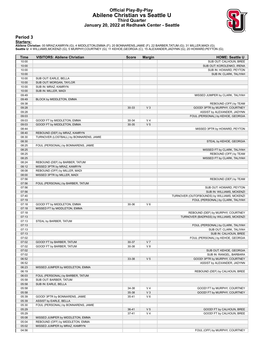## **Official Play-By-Play Abilene Christian vs Seattle U Third Quarter January 20, 2022 at Redhawk Center - Seattle**



#### **Period 3**

#### **Starters:**

Abilene Christian: 00 MRAZ,KAMRYN (G); 4 MIDDLETON,EMMA (F); 20 BONNARENS,JAMIE (F); 22 BARBER,TATUM (G); 31 MILLER,MADI (G);<br>Seattle U: 4 WILLIAMS,MCKENZI (G); 5 MURPHY,COURTNEY (G); 11 KEHOE,GEORGIA (C); 15 ALEXANDER,JAD

| Time           | <b>VISITORS: Abilene Christian</b>                                | <b>Score</b> | <b>Margin</b>  | <b>HOME: Seattle U</b>                      |
|----------------|-------------------------------------------------------------------|--------------|----------------|---------------------------------------------|
| 10:00          |                                                                   |              |                | SUB OUT: CALHOUN, BREE                      |
| 10:00          |                                                                   |              |                | SUB OUT: KOROLENKO, IRENA                   |
| 10:00          |                                                                   |              |                | SUB IN: HOWARD, PEYTON                      |
| 10:00          |                                                                   |              |                | SUB IN: CLARK, TALIYAH                      |
| 10:00          | SUB OUT: EARLE, BELLA                                             |              |                |                                             |
| 10:00          | SUB OUT: MORGAN, TAYLOR                                           |              |                |                                             |
| 10:00<br>10:00 | SUB IN: MRAZ, KAMRYN                                              |              |                |                                             |
| 09:49          | SUB IN: MILLER, MADI                                              |              |                | MISSED JUMPER by CLARK, TALIYAH             |
| 09:49          | BLOCK by MIDDLETON, EMMA                                          |              |                |                                             |
| 09:38          |                                                                   |              |                | REBOUND (OFF) by TEAM                       |
| 09:28          |                                                                   | 30-33        | V <sub>3</sub> | GOOD! 3PTR by MURPHY, COURTNEY              |
| 09:28          |                                                                   |              |                | ASSIST by ALEXANDER, JADYNN                 |
| 09:03          |                                                                   |              |                | FOUL (PERSONAL) by KEHOE, GEORGIA           |
| 09:03          | GOOD! FT by MIDDLETON, EMMA                                       | 30-34        | V <sub>4</sub> |                                             |
| 09:03          | GOOD! FT by MIDDLETON, EMMA                                       | 30-35        | V <sub>5</sub> |                                             |
| 08:44          |                                                                   |              |                | MISSED 3PTR by HOWARD, PEYTON               |
| 08:40          | REBOUND (DEF) by MRAZ, KAMRYN                                     |              |                |                                             |
| 08:30          | TURNOVER (LOSTBALL) by BONNARENS, JAMIE                           |              |                |                                             |
| 08:30          |                                                                   |              |                | STEAL by KEHOE, GEORGIA                     |
| 08:25          | FOUL (PERSONAL) by BONNARENS, JAMIE                               |              |                |                                             |
| 08:25          |                                                                   |              |                | MISSED FT by CLARK, TALIYAH                 |
| 08:25          |                                                                   |              |                | REBOUND (OFF) by TEAM                       |
| 08:25          |                                                                   |              |                | MISSED FT by CLARK, TALIYAH                 |
| 08:24          | REBOUND (DEF) by BARBER, TATUM                                    |              |                |                                             |
| 08:12          | MISSED 3PTR by MRAZ, KAMRYN                                       |              |                |                                             |
| 08:08          | REBOUND (OFF) by MILLER, MADI                                     |              |                |                                             |
| 08:00          | MISSED 3PTR by MILLER, MADI                                       |              |                |                                             |
| 07:56          |                                                                   |              |                | REBOUND (DEF) by TEAM                       |
| 07:56          | FOUL (PERSONAL) by BARBER, TATUM                                  |              |                |                                             |
| 07:56          |                                                                   |              |                | SUB OUT: HOWARD, PEYTON                     |
| 07:56          |                                                                   |              |                | SUB IN: WILLIAMS, MCKENZI                   |
| 07:40          |                                                                   |              |                | TURNOVER (OUTOFBOUNDS) by WILLIAMS, MCKENZI |
| 07:19          |                                                                   |              | $V_6$          | FOUL (PERSONAL) by CLARK, TALIYAH           |
| 07:18<br>07:18 | GOOD! FT by MIDDLETON, EMMA                                       | 30-36        |                |                                             |
| 07:18          | MISSED FT by MIDDLETON, EMMA                                      |              |                | REBOUND (DEF) by MURPHY, COURTNEY           |
| 07:13          |                                                                   |              |                | TURNOVER (BADPASS) by WILLIAMS, MCKENZI     |
| 07:13          | STEAL by BARBER, TATUM                                            |              |                |                                             |
| 07:13          |                                                                   |              |                | FOUL (PERSONAL) by CLARK, TALIYAH           |
| 07:13          |                                                                   |              |                | SUB OUT: CLARK, TALIYAH                     |
| 07:13          |                                                                   |              |                | SUB IN: CALHOUN, BREE                       |
| 07:02          |                                                                   |              |                | FOUL (PERSONAL) by KEHOE, GEORGIA           |
| 07:02          | GOOD! FT by BARBER, TATUM                                         | 30-37        | V <sub>7</sub> |                                             |
| 07:02          | GOOD! FT by BARBER, TATUM                                         | 30-38        | V8             |                                             |
| 07:02          |                                                                   |              |                | SUB OUT: KEHOE, GEORGIA                     |
| 07:02          |                                                                   |              |                | SUB IN: RANGEL, BARBARA                     |
| 06:52          |                                                                   | 33-38        | V <sub>5</sub> | GOOD! 3PTR by MURPHY, COURTNEY              |
| 06:52          |                                                                   |              |                | ASSIST by ALEXANDER, JADYNN                 |
| 06:23          | MISSED JUMPER by MIDDLETON, EMMA                                  |              |                |                                             |
| 06:19          |                                                                   |              |                | REBOUND (DEF) by CALHOUN, BREE              |
| 06:03          | FOUL (PERSONAL) by BARBER, TATUM                                  |              |                |                                             |
| 05:58          | SUB OUT: BARBER, TATUM                                            |              |                |                                             |
| 05:58          | SUB IN: EARLE, BELLA                                              |              |                |                                             |
| 05:58          |                                                                   | 34-38        | V <sub>4</sub> | GOOD! FT by MURPHY, COURTNEY                |
| 05:58          |                                                                   | 35-38        | $V_3$          | GOOD! FT by MURPHY, COURTNEY                |
| 05:39          | GOOD! 3PTR by BONNARENS, JAMIE                                    | 35-41        | V6             |                                             |
| 05:39          | ASSIST by EARLE, BELLA                                            |              |                |                                             |
| 05:30          | FOUL (PERSONAL) by BONNARENS, JAMIE                               |              |                |                                             |
| 05:29          |                                                                   | 36-41        | V <sub>5</sub> | GOOD! FT by CALHOUN, BREE                   |
| 05:29          |                                                                   | $37 - 41$    | V <sub>4</sub> | GOOD! FT by CALHOUN, BREE                   |
| 05:08<br>05:04 | MISSED JUMPER by MIDDLETON, EMMA                                  |              |                |                                             |
| 05:02          | REBOUND (OFF) by MIDDLETON, EMMA<br>MISSED JUMPER by MRAZ, KAMRYN |              |                |                                             |
| 04:56          |                                                                   |              |                | FOUL (OFF) by MURPHY, COURTNEY              |
|                |                                                                   |              |                |                                             |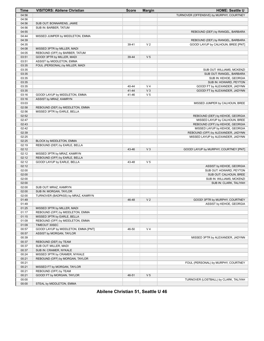| Time  | <b>VISITORS: Abilene Christian</b>   | <b>Score</b> | <b>Margin</b>  | <b>HOME: Seattle U</b>                   |
|-------|--------------------------------------|--------------|----------------|------------------------------------------|
| 04:56 |                                      |              |                | TURNOVER (OFFENSIVE) by MURPHY, COURTNEY |
| 04:56 |                                      |              |                |                                          |
| 04:56 | SUB OUT: BONNARENS, JAMIE            |              |                |                                          |
| 04:56 | SUB IN: BARBER, TATUM                |              |                |                                          |
| 04:55 |                                      |              |                | REBOUND (DEF) by RANGEL, BARBARA         |
| 04:44 | MISSED JUMPER by MIDDLETON, EMMA     |              |                |                                          |
| 04:39 |                                      |              |                | REBOUND (DEF) by RANGEL, BARBARA         |
| 04:35 |                                      | 39-41        | V <sub>2</sub> | GOOD! LAYUP by CALHOUN, BREE [PNT]       |
| 04:08 | MISSED 3PTR by MILLER, MADI          |              |                |                                          |
| 04:05 | REBOUND (OFF) by BARBER, TATUM       |              |                |                                          |
| 03:51 | GOOD! 3PTR by MILLER, MADI           | 39-44        | V <sub>5</sub> |                                          |
| 03:51 | ASSIST by MIDDLETON, EMMA            |              |                |                                          |
| 03:35 | FOUL (PERSONAL) by MILLER, MADI      |              |                |                                          |
| 03:35 |                                      |              |                | SUB OUT: WILLIAMS, MCKENZI               |
| 03:35 |                                      |              |                | SUB OUT: RANGEL, BARBARA                 |
| 03:35 |                                      |              |                | SUB IN: KEHOE, GEORGIA                   |
| 03:35 |                                      |              |                | SUB IN: HOWARD, PEYTON                   |
| 03:35 |                                      | 40-44        | V <sub>4</sub> | GOOD! FT by ALEXANDER, JADYNN            |
| 03:35 |                                      | 41-44        | V <sub>3</sub> | GOOD! FT by ALEXANDER, JADYNN            |
| 03:16 | GOOD! LAYUP by MIDDLETON, EMMA       | 41-46        | V <sub>5</sub> |                                          |
| 03:16 | ASSIST by MRAZ, KAMRYN               |              |                |                                          |
| 03:03 |                                      |              |                | MISSED JUMPER by CALHOUN, BREE           |
| 02:58 | REBOUND (DEF) by MIDDLETON, EMMA     |              |                |                                          |
| 02:56 | MISSED 3PTR by EARLE, BELLA          |              |                |                                          |
| 02:52 |                                      |              |                | REBOUND (DEF) by KEHOE, GEORGIA          |
| 02:47 |                                      |              |                | MISSED LAYUP by CALHOUN, BREE            |
| 02:43 |                                      |              |                | REBOUND (OFF) by KEHOE, GEORGIA          |
| 02:42 |                                      |              |                | MISSED LAYUP by KEHOE, GEORGIA           |
| 02:39 |                                      |              |                | REBOUND (OFF) by ALEXANDER, JADYNN       |
| 02:25 |                                      |              |                | MISSED LAYUP by ALEXANDER, JADYNN        |
| 02:25 | BLOCK by MIDDLETON, EMMA             |              |                |                                          |
| 02:19 | REBOUND (DEF) by EARLE, BELLA        |              |                |                                          |
| 02:12 |                                      | 43-46        | V <sub>3</sub> | GOOD! LAYUP by MURPHY, COURTNEY [PNT]    |
| 02:12 | MISSED 3PTR by MRAZ, KAMRYN          |              |                |                                          |
| 02:12 | REBOUND (OFF) by EARLE, BELLA        |              |                |                                          |
| 02:12 | GOOD! LAYUP by EARLE, BELLA          | 43-48        | V <sub>5</sub> |                                          |
| 02:12 |                                      |              |                | ASSIST by KEHOE, GEORGIA                 |
| 02:00 |                                      |              |                | SUB OUT: HOWARD, PEYTON                  |
| 02:00 |                                      |              |                | SUB OUT: CALHOUN, BREE                   |
| 02:00 |                                      |              |                | SUB IN: WILLIAMS, MCKENZI                |
| 02:00 |                                      |              |                | SUB IN: CLARK, TALIYAH                   |
| 02:00 | SUB OUT: MRAZ, KAMRYN                |              |                |                                          |
| 02:00 | SUB IN: MORGAN, TAYLOR               |              |                |                                          |
| 02:00 | TURNOVER (BADPASS) by MRAZ, KAMRYN   |              |                |                                          |
| 01:49 |                                      | 46-48        | V <sub>2</sub> | GOOD! 3PTR by MURPHY, COURTNEY           |
| 01:49 |                                      |              |                | ASSIST by KEHOE, GEORGIA                 |
| 01:25 | MISSED 3PTR by MILLER, MADI          |              |                |                                          |
| 01:17 | REBOUND (OFF) by MIDDLETON, EMMA     |              |                |                                          |
| 01:15 | MISSED 3PTR by EARLE, BELLA          |              |                |                                          |
| 01:09 | REBOUND (OFF) by MIDDLETON, EMMA     |              |                |                                          |
| 01:09 | TIMEOUT 30SEC                        |              |                |                                          |
| 00:57 | GOOD! LAYUP by MIDDLETON, EMMA [PNT] | 46-50        | V <sub>4</sub> |                                          |
| 00:57 | ASSIST by MORGAN, TAYLOR             |              |                |                                          |
| 00:39 |                                      |              |                | MISSED 3PTR by ALEXANDER, JADYNN         |
| 00:37 | REBOUND (DEF) by TEAM                |              |                |                                          |
| 00:37 | SUB OUT: MILLER, MADI                |              |                |                                          |
| 00:37 | SUB IN: CRAMER, NYKALE               |              |                |                                          |
| 00:24 | MISSED 3PTR by CRAMER, NYKALE        |              |                |                                          |
| 00:21 | REBOUND (OFF) by MORGAN, TAYLOR      |              |                |                                          |
| 00:21 |                                      |              |                | FOUL (PERSONAL) by MURPHY, COURTNEY      |
| 00:21 | MISSED FT by MORGAN, TAYLOR          |              |                |                                          |
| 00:21 | REBOUND (OFF) by TEAM                |              |                |                                          |
| 00:21 | GOOD! FT by MORGAN, TAYLOR           | 46-51        | V <sub>5</sub> |                                          |
| 00:00 |                                      |              |                | TURNOVER (LOSTBALL) by CLARK, TALIYAH    |
| 00:00 | STEAL by MIDDLETON, EMMA             |              |                |                                          |

**Abilene Christian 51, Seattle U 46**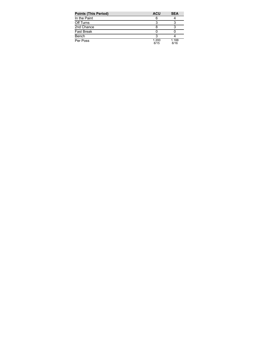| <b>Points (This Period)</b> | <b>ACU</b>    | <b>SEA</b>    |
|-----------------------------|---------------|---------------|
| In the Paint                | 6             |               |
| Off Turns                   |               |               |
| 2nd Chance                  |               |               |
| Fast Break                  |               |               |
| Bench                       |               |               |
| Per Poss                    | 1.200<br>8/15 | 1.188<br>8/16 |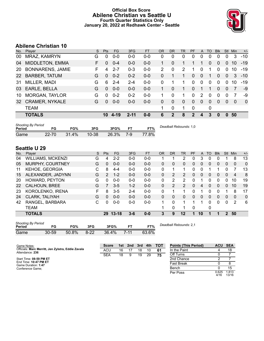## **Official Box Score Abilene Christian vs Seattle U Fourth Quarter Statistics Only January 20, 2022 at Redhawk Center - Seattle**



# **Abilene Christian 10**

| No.       | Plaver                  | S. | <b>Pts</b> | FG      | 3FG      | <b>FT</b> | OR       | <b>DR</b>   | <b>TR</b> | PF            | A             | TO       | <b>Blk</b> | Stl            | Min      | $+/-$        |
|-----------|-------------------------|----|------------|---------|----------|-----------|----------|-------------|-----------|---------------|---------------|----------|------------|----------------|----------|--------------|
| 00        | MRAZ, KAMRYN            | G  | 0          | $0 - 0$ | $0-0$    | $0-0$     | 0        | 0           | 0         | 0             | 0             | 0        | 0          | 0              | 3        | $-10$        |
| 04        | <b>MIDDLETON, EMMA</b>  | F. | 0          | $0 - 4$ | $0-0$    | $0-0$     | 1        | 0           |           |               |               | 0        | 0          | $\Omega$       | 10       | $-19$        |
| 20        | <b>BONNARENS, JAMIE</b> | F. | 4          | $2 - 7$ | $0 - 3$  | $0 - 0$   | 2        | 0           | 2         |               | 0             |          | $\Omega$   | $\Omega$       | 10       | $-19$        |
| 22        | <b>BARBER, TATUM</b>    | G  | $\Omega$   | $0 - 2$ | $0 - 2$  | $0 - 0$   | $\Omega$ |             | 1         | $\Omega$      | $\mathbf{0}$  | 1        | $\Omega$   | $\overline{0}$ | 3        | $-10$        |
| 31        | MILLER, MADI            | G  | 6          | $2 - 4$ | $2 - 4$  | $0 - 0$   | $\Omega$ |             |           | 0             | 0             | $\Omega$ | $\Omega$   | $\Omega$       | 10       | $-19$        |
| 03        | EARLE, BELLA            | G  | $\Omega$   | $0 - 0$ | $0-0$    | $0 - 0$   |          | $\Omega$    | 1.        | $\Omega$      |               |          | 0          | $\Omega$       | 7        | -9           |
| 10        | MORGAN, TAYLOR          | G  | $\Omega$   | $0 - 2$ | $0 - 2$  | $0 - 0$   | 1.       | 0           |           | 0             | $\mathcal{P}$ | $\Omega$ | $\Omega$   | $\Omega$       | 7        | -9           |
| <b>32</b> | <b>CRAMER, NYKALE</b>   | G  | $\Omega$   | $0 - 0$ | $0 - 0$  | $0-0$     | 0        | $\Omega$    | $\Omega$  | 0             | $\Omega$      | $\Omega$ | $\Omega$   | $\Omega$       | $\Omega$ | $\mathbf{0}$ |
|           | <b>TEAM</b>             |    |            |         |          |           | 1        | 0           |           | $\mathbf{0}$  |               | 0        |            |                |          |              |
|           | <b>TOTALS</b>           |    | 10         | -4-19   | $2 - 11$ | $0 - 0$   | 6        | $\mathbf 2$ | 8         | $\mathcal{P}$ | 4             | 3        | $\bf{0}$   | $\mathbf{0}$   | 50       |              |
|           |                         |    |            |         |          |           |          |             |           |               |               |          |            |                |          |              |

| <b>SHOOTING</b> Dy Feriou<br>Period |       | FG%   | 3FG       | 3FG%  |     | FT%   | Deadball Rebounds: 1,0 |
|-------------------------------------|-------|-------|-----------|-------|-----|-------|------------------------|
| Game                                | 22 70 | 31.4% | $10 - 38$ | 26.3% | 7-9 | 77.8% |                        |

# **Seattle U 29**

*Shooting By Period*

| No.   | Player                                                                                                                                      | S | Pts | <b>FG</b> | 3FG     | <b>FT</b> | 0R       | <b>DR</b> | TR             | PF | A            | TO       | <b>Blk</b> | Stl           | Min            | $+/-$    |
|-------|---------------------------------------------------------------------------------------------------------------------------------------------|---|-----|-----------|---------|-----------|----------|-----------|----------------|----|--------------|----------|------------|---------------|----------------|----------|
| 04    | <b>WILLIAMS, MCKENZI</b>                                                                                                                    | G | 4   | $2 - 2$   | $0 - 0$ | $0 - 0$   |          |           | 2              | 0  | 3            | 0        |            |               | 8              | 13       |
| 05    | MURPHY, COURTNEY                                                                                                                            | G | 0   | $0 - 0$   | $0 - 0$ | $0 - 0$   | 0        | 0         | $\Omega$       | 0  | $\mathbf{0}$ | 0        | 0          | 0             | $\mathbf{0}$   | $\Omega$ |
| 11    | KEHOE, GEORGIA                                                                                                                              | С | 8   | $4 - 4$   | $0 - 0$ | $0-0$     | 0        | 1         | 1              | 0  | 0            |          |            | 0             | 7              | 13       |
| 15    | ALEXANDER, JADYNN                                                                                                                           | G | 2   | $1 - 2$   | $0 - 0$ | $0 - 0$   | 0        | 2         | 2              | 0  | $\Omega$     | $\Omega$ | 0          | 0             | $\overline{4}$ | 8        |
| 20    | HOWARD, PEYTON                                                                                                                              | G | 0   | $0-0$     | $0 - 0$ | $0-0$     | 0        | 2         | 2              | 0  |              | 0        | 0          | 0             | 10             | 19       |
| 22    | CALHOUN, BREE                                                                                                                               | G |     | $3 - 5$   | $1 - 2$ | $0 - 0$   | $\Omega$ | 2         | $\overline{2}$ | 0  | 4            | $\Omega$ | 0          | $\Omega$      | 10             | 19       |
| 23    | KOROLENKO, IRENA                                                                                                                            | F | 8   | $3 - 5$   | $2 - 4$ | $0 - 0$   | 0        |           | 1              | 0  |              | $\Omega$ | 0          |               | 8              | 17       |
| 24    | <b>CLARK, TALIYAH</b>                                                                                                                       | G | 0   | $0 - 0$   | $0 - 0$ | $0 - 0$   | $\Omega$ | 0         | 0              | 0  | $\mathbf{0}$ | 0        | 0          | 0             | $\mathbf{0}$   | $\Omega$ |
| 42    | RANGEL, BARBARA                                                                                                                             | С | 0   | $0-0$     | $0-0$   | $0-0$     |          | 0         | 1              |    |              | $\Omega$ | 0          | 0             | 2              | 6        |
|       | TEAM                                                                                                                                        |   |     |           |         |           | 1        | 0         | 1              | 0  |              | 0        |            |               |                |          |
|       | <b>TOTALS</b>                                                                                                                               |   | 29  | $13 - 18$ | $3 - 6$ | $0 - 0$   | 3        | 9         | 12             | 1  | 10           | 1        | 1          | $\mathcal{P}$ | 50             |          |
| - - - | <b>Shooting By Period</b><br>Deadball Rebounds: 2.1<br>$- - \alpha$<br>--<br><b>-00'</b><br>$- - -$<br>$\mathbf{a} = \mathbf{a} \mathbf{a}$ |   |     |           |         |           |          |           |                |    |              |          |            |               |                |          |

**Score 1st 2nd 3rd 4th TOT** ACU 16 17 18 10 **61** SEA 18 9 19 29 **75**

**Period FG FG% 3FG 3FG% FT FT%**

*Deadball Rebounds:* 2,1

| Game |  | 30-59 50.8% 8-22 36.4% 7-11 63.6% |  |
|------|--|-----------------------------------|--|
|      |  |                                   |  |

**Points (This Period) ACU SEA** In the Paint 4 18 Off Turns 0 7 2nd Chance 2 7 Fast Break 0 8 Bench 0 15 Per Poss  $0.625$ <br> $4/16$ 1.813

13/16

Start Time: **08:59 PM ET** End Time: **10:47 PM ET** Game Duration: **1:47** Conference Game;

Attendance: **236**

Game Notes: Officials: **Marc Merritt, Jen Zylstra, Eddie Zavala**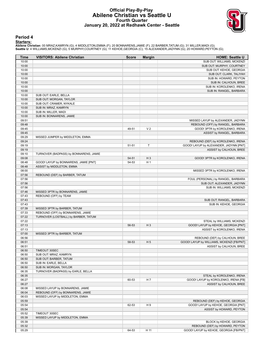## **Official Play-By-Play Abilene Christian vs Seattle U Fourth Quarter January 20, 2022 at Redhawk Center - Seattle**



#### **Period 4**

#### **Starters:**

Abilene Christian: 00 MRAZ,KAMRYN (G); 4 MIDDLETON,EMMA (F); 20 BONNARENS,JAMIE (F); 22 BARBER,TATUM (G); 31 MILLER,MADI (G);<br>Seattle U: 4 WILLIAMS,MCKENZI (G); 5 MURPHY,COURTNEY (G); 11 KEHOE,GEORGIA (C); 15 ALEXANDER,JAD

| Time  | <b>VISITORS: Abilene Christian</b>     | <b>Score</b> | <b>Margin</b>  | <b>HOME: Seattle U</b>                    |
|-------|----------------------------------------|--------------|----------------|-------------------------------------------|
| 10:00 |                                        |              |                | SUB OUT: WILLIAMS, MCKENZI                |
| 10:00 |                                        |              |                | SUB OUT: MURPHY, COURTNEY                 |
| 10:00 |                                        |              |                | SUB OUT: KEHOE, GEORGIA                   |
| 10:00 |                                        |              |                | SUB OUT: CLARK, TALIYAH                   |
| 10:00 |                                        |              |                | SUB IN: HOWARD, PEYTON                    |
| 10:00 |                                        |              |                | SUB IN: CALHOUN, BREE                     |
| 10:00 |                                        |              |                | SUB IN: KOROLENKO, IRENA                  |
| 10:00 |                                        |              |                | SUB IN: RANGEL, BARBARA                   |
| 10:00 | SUB OUT: EARLE, BELLA                  |              |                |                                           |
| 10:00 | SUB OUT: MORGAN, TAYLOR                |              |                |                                           |
| 10:00 | SUB OUT: CRAMER, NYKALE                |              |                |                                           |
| 10:00 | SUB IN: MRAZ, KAMRYN                   |              |                |                                           |
| 10:00 | SUB IN: MILLER, MADI                   |              |                |                                           |
| 10:00 | SUB IN: BONNARENS, JAMIE               |              |                |                                           |
| 09:51 |                                        |              |                | MISSED LAYUP by ALEXANDER, JADYNN         |
| 09:48 |                                        |              |                | REBOUND (OFF) by RANGEL, BARBARA          |
| 09:45 |                                        | 49-51        | V <sub>2</sub> | GOOD! 3PTR by KOROLENKO, IRENA            |
| 09:45 |                                        |              |                | ASSIST by RANGEL, BARBARA                 |
| 09:29 | MISSED JUMPER by MIDDLETON, EMMA       |              |                |                                           |
| 09:24 |                                        |              |                | REBOUND (DEF) by KOROLENKO, IRENA         |
| 09:19 |                                        | 51-51        | T              | GOOD! LAYUP by ALEXANDER, JADYNN [PNT]    |
| 09:19 |                                        |              |                | ASSIST by CALHOUN, BREE                   |
| 09:10 | TURNOVER (BADPASS) by BONNARENS, JAMIE |              |                |                                           |
| 09:08 |                                        | 54-51        | $H_3$          | GOOD! 3PTR by KOROLENKO, IRENA            |
| 08:48 | GOOD! LAYUP by BONNARENS, JAMIE [PNT]  | 54-53        | H <sub>1</sub> |                                           |
| 08:48 | ASSIST by MIDDLETON, EMMA              |              |                |                                           |
| 08:00 |                                        |              |                | MISSED 3PTR by KOROLENKO, IRENA           |
| 07:56 | REBOUND (DEF) by BARBER, TATUM         |              |                |                                           |
| 07:56 |                                        |              |                | FOUL (PERSONAL) by RANGEL, BARBARA        |
| 07:56 |                                        |              |                | SUB OUT: ALEXANDER, JADYNN                |
| 07:56 |                                        |              |                | SUB IN: WILLIAMS, MCKENZI                 |
| 07:46 | MISSED 3PTR by BONNARENS, JAMIE        |              |                |                                           |
| 07:43 | REBOUND (OFF) by TEAM                  |              |                |                                           |
| 07:43 |                                        |              |                | SUB OUT: RANGEL, BARBARA                  |
| 07:43 |                                        |              |                | SUB IN: KEHOE, GEORGIA                    |
| 07:39 | MISSED 3PTR by BARBER, TATUM           |              |                |                                           |
| 07:33 | REBOUND (OFF) by BONNARENS, JAMIE      |              |                |                                           |
| 07:22 | TURNOVER (LOSTBALL) by BARBER, TATUM   |              |                |                                           |
| 07:22 |                                        |              |                | STEAL by WILLIAMS, MCKENZI                |
| 07:13 |                                        | 56-53        | $H_3$          | GOOD! LAYUP by KEHOE, GEORGIA [PNT]       |
| 07:13 |                                        |              |                | ASSIST by KOROLENKO, IRENA                |
| 07:00 |                                        |              |                |                                           |
| 06:56 | MISSED 3PTR by BARBER, TATUM           |              |                | REBOUND (DEF) by CALHOUN, BREE            |
|       |                                        |              |                |                                           |
| 06:51 |                                        | 58-53        | H <sub>5</sub> | GOOD! LAYUP by WILLIAMS, MCKENZI [FB/PNT] |
| 06:51 |                                        |              |                | ASSIST by CALHOUN, BREE                   |
| 06:50 | TIMEOUT 30SEC                          |              |                |                                           |
| 06:50 | SUB OUT: MRAZ, KAMRYN                  |              |                |                                           |
| 06:50 | SUB OUT: BARBER, TATUM                 |              |                |                                           |
| 06:50 | SUB IN: EARLE, BELLA                   |              |                |                                           |
| 06:50 | SUB IN: MORGAN, TAYLOR                 |              |                |                                           |
| 06:35 | TURNOVER (BADPASS) by EARLE, BELLA     |              |                |                                           |
| 06:35 |                                        |              |                | STEAL by KOROLENKO, IRENA                 |
| 06:27 |                                        | 60-53        | H 7            | GOOD! LAYUP by KOROLENKO, IRENA [FB]      |
| 06:27 |                                        |              |                | ASSIST by CALHOUN, BREE                   |
| 06:08 | MISSED LAYUP by BONNARENS, JAMIE       |              |                |                                           |
| 06:04 | REBOUND (OFF) by BONNARENS, JAMIE      |              |                |                                           |
| 06:03 | MISSED LAYUP by MIDDLETON, EMMA        |              |                |                                           |
| 05:59 |                                        |              |                | REBOUND (DEF) by KEHOE, GEORGIA           |
| 05:54 |                                        | 62-53        | H 9            | GOOD! LAYUP by KEHOE, GEORGIA [PNT]       |
| 05:54 |                                        |              |                | ASSIST by HOWARD, PEYTON                  |
| 05:52 | TIMEOUT 30SEC                          |              |                |                                           |
| 05:39 | MISSED LAYUP by MIDDLETON, EMMA        |              |                |                                           |
| 05:39 |                                        |              |                | BLOCK by KEHOE, GEORGIA                   |
| 05:32 |                                        |              |                | REBOUND (DEF) by HOWARD, PEYTON           |
| 05:29 |                                        | 64-53        | H 11           | GOOD! LAYUP by KEHOE, GEORGIA [FB/PNT]    |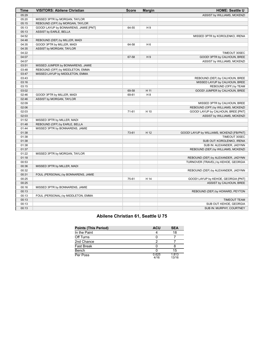| 05:29<br>ASSIST by WILLIAMS, MCKENZI<br>05:20<br>MISSED 3PTR by MORGAN, TAYLOR<br>05:15<br>REBOUND (OFF) by MORGAN, TAYLOR<br>05:13<br>GOOD! LAYUP by BONNARENS, JAMIE [PNT]<br>H <sub>9</sub><br>64-55<br>05:13<br>ASSIST by EARLE, BELLA<br>04:52<br>MISSED 3PTR by KOROLENKO, IRENA<br>04:48<br>REBOUND (DEF) by MILLER, MADI<br>04:35<br>GOOD! 3PTR by MILLER, MADI<br>64-58<br>H <sub>6</sub><br>04:35<br>ASSIST by MORGAN, TAYLOR<br>04:22<br>TIMEOUT 30SEC<br>04:07<br>H9<br>67-58<br>GOOD! 3PTR by CALHOUN, BREE<br>04:07<br>ASSIST by WILLIAMS, MCKENZI<br>03:51<br>MISSED JUMPER by BONNARENS, JAMIE<br>03:48<br>REBOUND (OFF) by MIDDLETON, EMMA<br>03:47<br>MISSED LAYUP by MIDDLETON, EMMA<br>03:43<br>REBOUND (DEF) by CALHOUN, BREE<br>03:16<br>MISSED LAYUP by CALHOUN, BREE<br>03:15<br>REBOUND (OFF) by TEAM<br>03:02<br>69-58<br>H 11<br>GOOD! JUMPER by CALHOUN, BREE<br>02:46<br>H 8<br>GOOD! 3PTR by MILLER, MADI<br>69-61<br>02:46<br>ASSIST by MORGAN, TAYLOR<br>02:09<br>MISSED 3PTR by CALHOUN, BREE<br>02:06<br>REBOUND (OFF) by WILLIAMS, MCKENZI<br>02:03<br>GOOD! LAYUP by CALHOUN, BREE [PNT]<br>71-61<br>H 10<br>02:03<br>ASSIST by WILLIAMS, MCKENZI<br>01:52<br>MISSED 3PTR by MILLER, MADI<br>01:48<br>REBOUND (OFF) by EARLE, BELLA<br>01:44<br>MISSED 3PTR by BONNARENS, JAMIE<br>01:38<br>73-61<br>H 12<br>GOOD! LAYUP by WILLIAMS, MCKENZI [FB/PNT]<br>01:38<br>TIMEOUT 30SEC<br>01:38<br>SUB OUT: KOROLENKO, IRENA<br>01:38<br>SUB IN: ALEXANDER, JADYNN<br>01:37<br>REBOUND (DEF) by WILLIAMS, MCKENZI<br>01:22<br>MISSED 3PTR by MORGAN, TAYLOR<br>01:18<br>REBOUND (DEF) by ALEXANDER, JADYNN<br>00:53<br>TURNOVER (TRAVEL) by KEHOE, GEORGIA<br>00:36<br>MISSED 3PTR by MILLER, MADI<br>00:32<br>REBOUND (DEF) by ALEXANDER, JADYNN<br>00:31<br>FOUL (PERSONAL) by BONNARENS, JAMIE<br>00:25<br>75-61<br>H 14<br>GOOD! LAYUP by KEHOE, GEORGIA [PNT]<br>00:25<br>ASSIST by CALHOUN, BREE<br>00:16<br>MISSED 3PTR by BONNARENS, JAMIE<br>00:13<br>REBOUND (DEF) by HOWARD, PEYTON<br>00:13<br>FOUL (PERSONAL) by MIDDLETON, EMMA<br>00:13<br><b>TIMEOUT TEAM</b><br>00:13<br>SUB OUT: KEHOE, GEORGIA<br>00:13<br>SUB IN: MURPHY, COURTNEY | Time | <b>VISITORS: Abilene Christian</b> | <b>Score</b> | <b>Margin</b> | <b>HOME: Seattle U</b> |
|--------------------------------------------------------------------------------------------------------------------------------------------------------------------------------------------------------------------------------------------------------------------------------------------------------------------------------------------------------------------------------------------------------------------------------------------------------------------------------------------------------------------------------------------------------------------------------------------------------------------------------------------------------------------------------------------------------------------------------------------------------------------------------------------------------------------------------------------------------------------------------------------------------------------------------------------------------------------------------------------------------------------------------------------------------------------------------------------------------------------------------------------------------------------------------------------------------------------------------------------------------------------------------------------------------------------------------------------------------------------------------------------------------------------------------------------------------------------------------------------------------------------------------------------------------------------------------------------------------------------------------------------------------------------------------------------------------------------------------------------------------------------------------------------------------------------------------------------------------------------------------------------------------------------------------------------------------------------------------------------------------------------------------------------------------------------------------------------------------------------------------------------------------------------------------------|------|------------------------------------|--------------|---------------|------------------------|
|                                                                                                                                                                                                                                                                                                                                                                                                                                                                                                                                                                                                                                                                                                                                                                                                                                                                                                                                                                                                                                                                                                                                                                                                                                                                                                                                                                                                                                                                                                                                                                                                                                                                                                                                                                                                                                                                                                                                                                                                                                                                                                                                                                                      |      |                                    |              |               |                        |
|                                                                                                                                                                                                                                                                                                                                                                                                                                                                                                                                                                                                                                                                                                                                                                                                                                                                                                                                                                                                                                                                                                                                                                                                                                                                                                                                                                                                                                                                                                                                                                                                                                                                                                                                                                                                                                                                                                                                                                                                                                                                                                                                                                                      |      |                                    |              |               |                        |
|                                                                                                                                                                                                                                                                                                                                                                                                                                                                                                                                                                                                                                                                                                                                                                                                                                                                                                                                                                                                                                                                                                                                                                                                                                                                                                                                                                                                                                                                                                                                                                                                                                                                                                                                                                                                                                                                                                                                                                                                                                                                                                                                                                                      |      |                                    |              |               |                        |
|                                                                                                                                                                                                                                                                                                                                                                                                                                                                                                                                                                                                                                                                                                                                                                                                                                                                                                                                                                                                                                                                                                                                                                                                                                                                                                                                                                                                                                                                                                                                                                                                                                                                                                                                                                                                                                                                                                                                                                                                                                                                                                                                                                                      |      |                                    |              |               |                        |
|                                                                                                                                                                                                                                                                                                                                                                                                                                                                                                                                                                                                                                                                                                                                                                                                                                                                                                                                                                                                                                                                                                                                                                                                                                                                                                                                                                                                                                                                                                                                                                                                                                                                                                                                                                                                                                                                                                                                                                                                                                                                                                                                                                                      |      |                                    |              |               |                        |
|                                                                                                                                                                                                                                                                                                                                                                                                                                                                                                                                                                                                                                                                                                                                                                                                                                                                                                                                                                                                                                                                                                                                                                                                                                                                                                                                                                                                                                                                                                                                                                                                                                                                                                                                                                                                                                                                                                                                                                                                                                                                                                                                                                                      |      |                                    |              |               |                        |
|                                                                                                                                                                                                                                                                                                                                                                                                                                                                                                                                                                                                                                                                                                                                                                                                                                                                                                                                                                                                                                                                                                                                                                                                                                                                                                                                                                                                                                                                                                                                                                                                                                                                                                                                                                                                                                                                                                                                                                                                                                                                                                                                                                                      |      |                                    |              |               |                        |
|                                                                                                                                                                                                                                                                                                                                                                                                                                                                                                                                                                                                                                                                                                                                                                                                                                                                                                                                                                                                                                                                                                                                                                                                                                                                                                                                                                                                                                                                                                                                                                                                                                                                                                                                                                                                                                                                                                                                                                                                                                                                                                                                                                                      |      |                                    |              |               |                        |
|                                                                                                                                                                                                                                                                                                                                                                                                                                                                                                                                                                                                                                                                                                                                                                                                                                                                                                                                                                                                                                                                                                                                                                                                                                                                                                                                                                                                                                                                                                                                                                                                                                                                                                                                                                                                                                                                                                                                                                                                                                                                                                                                                                                      |      |                                    |              |               |                        |
|                                                                                                                                                                                                                                                                                                                                                                                                                                                                                                                                                                                                                                                                                                                                                                                                                                                                                                                                                                                                                                                                                                                                                                                                                                                                                                                                                                                                                                                                                                                                                                                                                                                                                                                                                                                                                                                                                                                                                                                                                                                                                                                                                                                      |      |                                    |              |               |                        |
|                                                                                                                                                                                                                                                                                                                                                                                                                                                                                                                                                                                                                                                                                                                                                                                                                                                                                                                                                                                                                                                                                                                                                                                                                                                                                                                                                                                                                                                                                                                                                                                                                                                                                                                                                                                                                                                                                                                                                                                                                                                                                                                                                                                      |      |                                    |              |               |                        |
|                                                                                                                                                                                                                                                                                                                                                                                                                                                                                                                                                                                                                                                                                                                                                                                                                                                                                                                                                                                                                                                                                                                                                                                                                                                                                                                                                                                                                                                                                                                                                                                                                                                                                                                                                                                                                                                                                                                                                                                                                                                                                                                                                                                      |      |                                    |              |               |                        |
|                                                                                                                                                                                                                                                                                                                                                                                                                                                                                                                                                                                                                                                                                                                                                                                                                                                                                                                                                                                                                                                                                                                                                                                                                                                                                                                                                                                                                                                                                                                                                                                                                                                                                                                                                                                                                                                                                                                                                                                                                                                                                                                                                                                      |      |                                    |              |               |                        |
|                                                                                                                                                                                                                                                                                                                                                                                                                                                                                                                                                                                                                                                                                                                                                                                                                                                                                                                                                                                                                                                                                                                                                                                                                                                                                                                                                                                                                                                                                                                                                                                                                                                                                                                                                                                                                                                                                                                                                                                                                                                                                                                                                                                      |      |                                    |              |               |                        |
|                                                                                                                                                                                                                                                                                                                                                                                                                                                                                                                                                                                                                                                                                                                                                                                                                                                                                                                                                                                                                                                                                                                                                                                                                                                                                                                                                                                                                                                                                                                                                                                                                                                                                                                                                                                                                                                                                                                                                                                                                                                                                                                                                                                      |      |                                    |              |               |                        |
|                                                                                                                                                                                                                                                                                                                                                                                                                                                                                                                                                                                                                                                                                                                                                                                                                                                                                                                                                                                                                                                                                                                                                                                                                                                                                                                                                                                                                                                                                                                                                                                                                                                                                                                                                                                                                                                                                                                                                                                                                                                                                                                                                                                      |      |                                    |              |               |                        |
|                                                                                                                                                                                                                                                                                                                                                                                                                                                                                                                                                                                                                                                                                                                                                                                                                                                                                                                                                                                                                                                                                                                                                                                                                                                                                                                                                                                                                                                                                                                                                                                                                                                                                                                                                                                                                                                                                                                                                                                                                                                                                                                                                                                      |      |                                    |              |               |                        |
|                                                                                                                                                                                                                                                                                                                                                                                                                                                                                                                                                                                                                                                                                                                                                                                                                                                                                                                                                                                                                                                                                                                                                                                                                                                                                                                                                                                                                                                                                                                                                                                                                                                                                                                                                                                                                                                                                                                                                                                                                                                                                                                                                                                      |      |                                    |              |               |                        |
|                                                                                                                                                                                                                                                                                                                                                                                                                                                                                                                                                                                                                                                                                                                                                                                                                                                                                                                                                                                                                                                                                                                                                                                                                                                                                                                                                                                                                                                                                                                                                                                                                                                                                                                                                                                                                                                                                                                                                                                                                                                                                                                                                                                      |      |                                    |              |               |                        |
|                                                                                                                                                                                                                                                                                                                                                                                                                                                                                                                                                                                                                                                                                                                                                                                                                                                                                                                                                                                                                                                                                                                                                                                                                                                                                                                                                                                                                                                                                                                                                                                                                                                                                                                                                                                                                                                                                                                                                                                                                                                                                                                                                                                      |      |                                    |              |               |                        |
|                                                                                                                                                                                                                                                                                                                                                                                                                                                                                                                                                                                                                                                                                                                                                                                                                                                                                                                                                                                                                                                                                                                                                                                                                                                                                                                                                                                                                                                                                                                                                                                                                                                                                                                                                                                                                                                                                                                                                                                                                                                                                                                                                                                      |      |                                    |              |               |                        |
|                                                                                                                                                                                                                                                                                                                                                                                                                                                                                                                                                                                                                                                                                                                                                                                                                                                                                                                                                                                                                                                                                                                                                                                                                                                                                                                                                                                                                                                                                                                                                                                                                                                                                                                                                                                                                                                                                                                                                                                                                                                                                                                                                                                      |      |                                    |              |               |                        |
|                                                                                                                                                                                                                                                                                                                                                                                                                                                                                                                                                                                                                                                                                                                                                                                                                                                                                                                                                                                                                                                                                                                                                                                                                                                                                                                                                                                                                                                                                                                                                                                                                                                                                                                                                                                                                                                                                                                                                                                                                                                                                                                                                                                      |      |                                    |              |               |                        |
|                                                                                                                                                                                                                                                                                                                                                                                                                                                                                                                                                                                                                                                                                                                                                                                                                                                                                                                                                                                                                                                                                                                                                                                                                                                                                                                                                                                                                                                                                                                                                                                                                                                                                                                                                                                                                                                                                                                                                                                                                                                                                                                                                                                      |      |                                    |              |               |                        |
|                                                                                                                                                                                                                                                                                                                                                                                                                                                                                                                                                                                                                                                                                                                                                                                                                                                                                                                                                                                                                                                                                                                                                                                                                                                                                                                                                                                                                                                                                                                                                                                                                                                                                                                                                                                                                                                                                                                                                                                                                                                                                                                                                                                      |      |                                    |              |               |                        |
|                                                                                                                                                                                                                                                                                                                                                                                                                                                                                                                                                                                                                                                                                                                                                                                                                                                                                                                                                                                                                                                                                                                                                                                                                                                                                                                                                                                                                                                                                                                                                                                                                                                                                                                                                                                                                                                                                                                                                                                                                                                                                                                                                                                      |      |                                    |              |               |                        |
|                                                                                                                                                                                                                                                                                                                                                                                                                                                                                                                                                                                                                                                                                                                                                                                                                                                                                                                                                                                                                                                                                                                                                                                                                                                                                                                                                                                                                                                                                                                                                                                                                                                                                                                                                                                                                                                                                                                                                                                                                                                                                                                                                                                      |      |                                    |              |               |                        |
|                                                                                                                                                                                                                                                                                                                                                                                                                                                                                                                                                                                                                                                                                                                                                                                                                                                                                                                                                                                                                                                                                                                                                                                                                                                                                                                                                                                                                                                                                                                                                                                                                                                                                                                                                                                                                                                                                                                                                                                                                                                                                                                                                                                      |      |                                    |              |               |                        |
|                                                                                                                                                                                                                                                                                                                                                                                                                                                                                                                                                                                                                                                                                                                                                                                                                                                                                                                                                                                                                                                                                                                                                                                                                                                                                                                                                                                                                                                                                                                                                                                                                                                                                                                                                                                                                                                                                                                                                                                                                                                                                                                                                                                      |      |                                    |              |               |                        |
|                                                                                                                                                                                                                                                                                                                                                                                                                                                                                                                                                                                                                                                                                                                                                                                                                                                                                                                                                                                                                                                                                                                                                                                                                                                                                                                                                                                                                                                                                                                                                                                                                                                                                                                                                                                                                                                                                                                                                                                                                                                                                                                                                                                      |      |                                    |              |               |                        |
|                                                                                                                                                                                                                                                                                                                                                                                                                                                                                                                                                                                                                                                                                                                                                                                                                                                                                                                                                                                                                                                                                                                                                                                                                                                                                                                                                                                                                                                                                                                                                                                                                                                                                                                                                                                                                                                                                                                                                                                                                                                                                                                                                                                      |      |                                    |              |               |                        |
|                                                                                                                                                                                                                                                                                                                                                                                                                                                                                                                                                                                                                                                                                                                                                                                                                                                                                                                                                                                                                                                                                                                                                                                                                                                                                                                                                                                                                                                                                                                                                                                                                                                                                                                                                                                                                                                                                                                                                                                                                                                                                                                                                                                      |      |                                    |              |               |                        |
|                                                                                                                                                                                                                                                                                                                                                                                                                                                                                                                                                                                                                                                                                                                                                                                                                                                                                                                                                                                                                                                                                                                                                                                                                                                                                                                                                                                                                                                                                                                                                                                                                                                                                                                                                                                                                                                                                                                                                                                                                                                                                                                                                                                      |      |                                    |              |               |                        |
|                                                                                                                                                                                                                                                                                                                                                                                                                                                                                                                                                                                                                                                                                                                                                                                                                                                                                                                                                                                                                                                                                                                                                                                                                                                                                                                                                                                                                                                                                                                                                                                                                                                                                                                                                                                                                                                                                                                                                                                                                                                                                                                                                                                      |      |                                    |              |               |                        |
|                                                                                                                                                                                                                                                                                                                                                                                                                                                                                                                                                                                                                                                                                                                                                                                                                                                                                                                                                                                                                                                                                                                                                                                                                                                                                                                                                                                                                                                                                                                                                                                                                                                                                                                                                                                                                                                                                                                                                                                                                                                                                                                                                                                      |      |                                    |              |               |                        |
|                                                                                                                                                                                                                                                                                                                                                                                                                                                                                                                                                                                                                                                                                                                                                                                                                                                                                                                                                                                                                                                                                                                                                                                                                                                                                                                                                                                                                                                                                                                                                                                                                                                                                                                                                                                                                                                                                                                                                                                                                                                                                                                                                                                      |      |                                    |              |               |                        |
|                                                                                                                                                                                                                                                                                                                                                                                                                                                                                                                                                                                                                                                                                                                                                                                                                                                                                                                                                                                                                                                                                                                                                                                                                                                                                                                                                                                                                                                                                                                                                                                                                                                                                                                                                                                                                                                                                                                                                                                                                                                                                                                                                                                      |      |                                    |              |               |                        |
|                                                                                                                                                                                                                                                                                                                                                                                                                                                                                                                                                                                                                                                                                                                                                                                                                                                                                                                                                                                                                                                                                                                                                                                                                                                                                                                                                                                                                                                                                                                                                                                                                                                                                                                                                                                                                                                                                                                                                                                                                                                                                                                                                                                      |      |                                    |              |               |                        |
|                                                                                                                                                                                                                                                                                                                                                                                                                                                                                                                                                                                                                                                                                                                                                                                                                                                                                                                                                                                                                                                                                                                                                                                                                                                                                                                                                                                                                                                                                                                                                                                                                                                                                                                                                                                                                                                                                                                                                                                                                                                                                                                                                                                      |      |                                    |              |               |                        |
|                                                                                                                                                                                                                                                                                                                                                                                                                                                                                                                                                                                                                                                                                                                                                                                                                                                                                                                                                                                                                                                                                                                                                                                                                                                                                                                                                                                                                                                                                                                                                                                                                                                                                                                                                                                                                                                                                                                                                                                                                                                                                                                                                                                      |      |                                    |              |               |                        |
|                                                                                                                                                                                                                                                                                                                                                                                                                                                                                                                                                                                                                                                                                                                                                                                                                                                                                                                                                                                                                                                                                                                                                                                                                                                                                                                                                                                                                                                                                                                                                                                                                                                                                                                                                                                                                                                                                                                                                                                                                                                                                                                                                                                      |      |                                    |              |               |                        |
|                                                                                                                                                                                                                                                                                                                                                                                                                                                                                                                                                                                                                                                                                                                                                                                                                                                                                                                                                                                                                                                                                                                                                                                                                                                                                                                                                                                                                                                                                                                                                                                                                                                                                                                                                                                                                                                                                                                                                                                                                                                                                                                                                                                      |      |                                    |              |               |                        |
|                                                                                                                                                                                                                                                                                                                                                                                                                                                                                                                                                                                                                                                                                                                                                                                                                                                                                                                                                                                                                                                                                                                                                                                                                                                                                                                                                                                                                                                                                                                                                                                                                                                                                                                                                                                                                                                                                                                                                                                                                                                                                                                                                                                      |      |                                    |              |               |                        |
|                                                                                                                                                                                                                                                                                                                                                                                                                                                                                                                                                                                                                                                                                                                                                                                                                                                                                                                                                                                                                                                                                                                                                                                                                                                                                                                                                                                                                                                                                                                                                                                                                                                                                                                                                                                                                                                                                                                                                                                                                                                                                                                                                                                      |      |                                    |              |               |                        |
|                                                                                                                                                                                                                                                                                                                                                                                                                                                                                                                                                                                                                                                                                                                                                                                                                                                                                                                                                                                                                                                                                                                                                                                                                                                                                                                                                                                                                                                                                                                                                                                                                                                                                                                                                                                                                                                                                                                                                                                                                                                                                                                                                                                      |      |                                    |              |               |                        |
|                                                                                                                                                                                                                                                                                                                                                                                                                                                                                                                                                                                                                                                                                                                                                                                                                                                                                                                                                                                                                                                                                                                                                                                                                                                                                                                                                                                                                                                                                                                                                                                                                                                                                                                                                                                                                                                                                                                                                                                                                                                                                                                                                                                      |      |                                    |              |               |                        |
|                                                                                                                                                                                                                                                                                                                                                                                                                                                                                                                                                                                                                                                                                                                                                                                                                                                                                                                                                                                                                                                                                                                                                                                                                                                                                                                                                                                                                                                                                                                                                                                                                                                                                                                                                                                                                                                                                                                                                                                                                                                                                                                                                                                      |      |                                    |              |               |                        |

# **Abilene Christian 61, Seattle U 75**

| <b>Points (This Period)</b> | <b>ACU</b>    | <b>SEA</b>     |
|-----------------------------|---------------|----------------|
| In the Paint                |               | 18             |
| Off Turns                   |               |                |
| 2nd Chance                  |               |                |
| <b>Fast Break</b>           |               |                |
| Bench                       |               | 15             |
| Per Poss                    | 0.625<br>4/16 | 1.813<br>13/16 |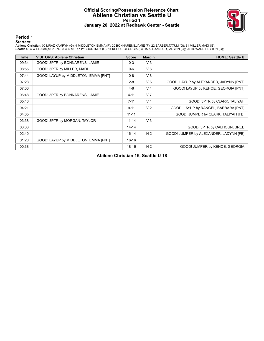#### **Official Scoring/Possession Reference Chart Abilene Christian vs Seattle U Period 1 January 20, 2022 at Redhawk Center - Seattle**



**Period 1**

#### **Starters:**

Abilene Christian: 00 MRAZ,KAMRYN (G); 4 MIDDLETON,EMMA (F); 20 BONNARENS,JAMIE (F); 22 BARBER,TATUM (G); 31 MILLER,MADI (G);<br>Seattle U: 4 WILLIAMS,MCKENZI (G); 5 MURPHY,COURTNEY (G); 11 KEHOE,GEORGIA (C); 15 ALEXANDER,JAD

| <b>Time</b> | <b>VISITORS: Abilene Christian</b>   | <b>Score</b> | <b>Margin</b>  | <b>HOME: Seattle U</b>                 |
|-------------|--------------------------------------|--------------|----------------|----------------------------------------|
| 09:34       | GOOD! 3PTR by BONNARENS, JAMIE       | $0 - 3$      | $V_3$          |                                        |
| 08:55       | GOOD! 3PTR by MILLER, MADI           | $0 - 6$      | $V_6$          |                                        |
| 07:44       | GOOD! LAYUP by MIDDLETON, EMMA [PNT] | $0 - 8$      | V8             |                                        |
| 07:28       |                                      | $2 - 8$      | $V_6$          | GOOD! LAYUP by ALEXANDER, JADYNN [PNT] |
| 07:00       |                                      | $4 - 8$      | V <sub>4</sub> | GOOD! LAYUP by KEHOE, GEORGIA [PNT]    |
| 06:48       | GOOD! 3PTR by BONNARENS, JAMIE       | $4 - 11$     | V <sub>7</sub> |                                        |
| 05:46       |                                      | $7 - 11$     | V <sub>4</sub> | GOOD! 3PTR by CLARK, TALIYAH           |
| 04:21       |                                      | $9 - 11$     | V <sub>2</sub> | GOOD! LAYUP by RANGEL, BARBARA [PNT]   |
| 04:05       |                                      | $11 - 11$    | т              | GOOD! JUMPER by CLARK, TALIYAH [FB]    |
| 03:38       | GOOD! 3PTR by MORGAN, TAYLOR         | $11 - 14$    | $V_3$          |                                        |
| 03:06       |                                      | $14 - 14$    | т              | GOOD! 3PTR by CALHOUN, BREE            |
| 02:40       |                                      | $16 - 14$    | H <sub>2</sub> | GOOD! JUMPER by ALEXANDER, JADYNN [FB] |
| 01:20       | GOOD! LAYUP by MIDDLETON, EMMA [PNT] | $16 - 16$    | т              |                                        |
| 00:38       |                                      | $18 - 16$    | H <sub>2</sub> | GOOD! JUMPER by KEHOE, GEORGIA         |

**Abilene Christian 16, Seattle U 18**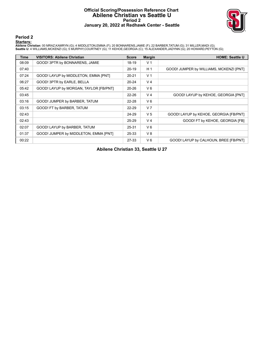# **Official Scoring/Possession Reference Chart Abilene Christian vs Seattle U Period 2 January 20, 2022 at Redhawk Center - Seattle**



**Period 2**

#### **Starters:**

Abilene Christian: 00 MRAZ,KAMRYN (G); 4 MIDDLETON,EMMA (F); 20 BONNARENS,JAMIE (F); 22 BARBER,TATUM (G); 31 MILLER,MADI (G);<br>Seattle U: 4 WILLIAMS,MCKENZI (G); 5 MURPHY,COURTNEY (G); 11 KEHOE,GEORGIA (C); 15 ALEXANDER,JAD

| <b>Time</b> | <b>VISITORS: Abilene Christian</b>     | <b>Score</b> | <b>Margin</b>  | <b>HOME: Seattle U</b>                  |
|-------------|----------------------------------------|--------------|----------------|-----------------------------------------|
| 08:09       | GOOD! 3PTR by BONNARENS, JAMIE         | 18-19        | V <sub>1</sub> |                                         |
| 07:40       |                                        | $20-19$      | H <sub>1</sub> | GOOD! JUMPER by WILLIAMS, MCKENZI [PNT] |
| 07:24       | GOOD! LAYUP by MIDDLETON, EMMA [PNT]   | $20 - 21$    | V <sub>1</sub> |                                         |
| 06:27       | GOOD! 3PTR by EARLE, BELLA             | $20 - 24$    | V <sub>4</sub> |                                         |
| 05:42       | GOOD! LAYUP by MORGAN, TAYLOR [FB/PNT] | $20 - 26$    | $V_6$          |                                         |
| 03:45       |                                        | $22 - 26$    | V <sub>4</sub> | GOOD! LAYUP by KEHOE, GEORGIA [PNT]     |
| 03:16       | GOOD! JUMPER by BARBER, TATUM          | $22 - 28$    | $V_6$          |                                         |
| 03:15       | GOOD! FT by BARBER, TATUM              | $22 - 29$    | V <sub>7</sub> |                                         |
| 02:43       |                                        | 24-29        | V <sub>5</sub> | GOOD! LAYUP by KEHOE, GEORGIA [FB/PNT]  |
| 02:43       |                                        | $25 - 29$    | V <sub>4</sub> | GOOD! FT by KEHOE, GEORGIA [FB]         |
| 02:07       | GOOD! LAYUP by BARBER, TATUM           | 25-31        | $V_6$          |                                         |
| 01:37       | GOOD! JUMPER by MIDDLETON, EMMA [PNT]  | 25-33        | V8             |                                         |
| 00:22       |                                        | 27-33        | $V_6$          | GOOD! LAYUP by CALHOUN, BREE [FB/PNT]   |

**Abilene Christian 33, Seattle U 27**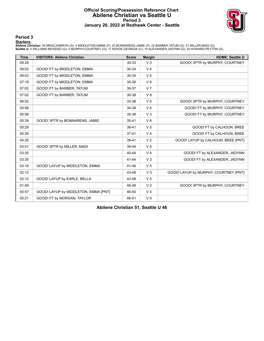# **Official Scoring/Possession Reference Chart Abilene Christian vs Seattle U Period 3 January 20, 2022 at Redhawk Center - Seattle**



**Period 3**

#### **Starters:**

Abilene Christian: 00 MRAZ,KAMRYN (G); 4 MIDDLETON,EMMA (F); 20 BONNARENS,JAMIE (F); 22 BARBER,TATUM (G); 31 MILLER,MADI (G);<br>Seattle U: 4 WILLIAMS,MCKENZI (G); 5 MURPHY,COURTNEY (G); 11 KEHOE,GEORGIA (C); 15 ALEXANDER,JAD

| <b>Time</b> | <b>VISITORS: Abilene Christian</b>   | <b>Score</b> | <b>Margin</b>  | <b>HOME: Seattle U</b>                |
|-------------|--------------------------------------|--------------|----------------|---------------------------------------|
| 09:28       |                                      | 30-33        | V <sub>3</sub> | GOOD! 3PTR by MURPHY, COURTNEY        |
| 09:03       | GOOD! FT by MIDDLETON, EMMA          | 30-34        | V <sub>4</sub> |                                       |
| 09:03       | GOOD! FT by MIDDLETON, EMMA          | 30-35        | V <sub>5</sub> |                                       |
| 07:18       | GOOD! FT by MIDDLETON, EMMA          | 30-36        | $V_6$          |                                       |
| 07:02       | GOOD! FT by BARBER, TATUM            | 30-37        | V <sub>7</sub> |                                       |
| 07:02       | GOOD! FT by BARBER, TATUM            | 30-38        | V8             |                                       |
| 06:52       |                                      | 33-38        | V <sub>5</sub> | GOOD! 3PTR by MURPHY, COURTNEY        |
| 05:58       |                                      | 34-38        | V <sub>4</sub> | GOOD! FT by MURPHY, COURTNEY          |
| 05:58       |                                      | 35-38        | V <sub>3</sub> | GOOD! FT by MURPHY, COURTNEY          |
| 05:39       | GOOD! 3PTR by BONNARENS, JAMIE       | $35 - 41$    | $V_6$          |                                       |
| 05:29       |                                      | 36-41        | V <sub>5</sub> | GOOD! FT by CALHOUN, BREE             |
| 05:29       |                                      | $37 - 41$    | V <sub>4</sub> | GOOD! FT by CALHOUN, BREE             |
| 04:35       |                                      | 39-41        | V <sub>2</sub> | GOOD! LAYUP by CALHOUN, BREE [PNT]    |
| 03:51       | GOOD! 3PTR by MILLER, MADI           | 39-44        | V <sub>5</sub> |                                       |
| 03:35       |                                      | 40-44        | V <sub>4</sub> | GOOD! FT by ALEXANDER, JADYNN         |
| 03:35       |                                      | $41 - 44$    | V <sub>3</sub> | GOOD! FT by ALEXANDER, JADYNN         |
| 03:16       | GOOD! LAYUP by MIDDLETON, EMMA       | 41-46        | V <sub>5</sub> |                                       |
| 02:12       |                                      | 43-46        | V <sub>3</sub> | GOOD! LAYUP by MURPHY, COURTNEY [PNT] |
| 02:12       | GOOD! LAYUP by EARLE, BELLA          | 43-48        | V <sub>5</sub> |                                       |
| 01:49       |                                      | 46-48        | V <sub>2</sub> | GOOD! 3PTR by MURPHY, COURTNEY        |
| 00:57       | GOOD! LAYUP by MIDDLETON, EMMA [PNT] | 46-50        | V <sub>4</sub> |                                       |
| 00:21       | GOOD! FT by MORGAN, TAYLOR           | 46-51        | V <sub>5</sub> |                                       |

**Abilene Christian 51, Seattle U 46**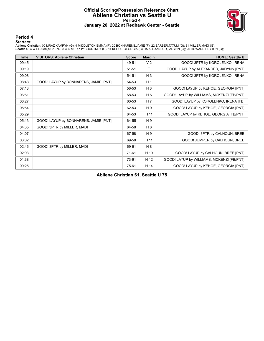# **Official Scoring/Possession Reference Chart Abilene Christian vs Seattle U Period 4 January 20, 2022 at Redhawk Center - Seattle**



**Period 4**

#### **Starters:**

Abilene Christian: 00 MRAZ,KAMRYN (G); 4 MIDDLETON,EMMA (F); 20 BONNARENS,JAMIE (F); 22 BARBER,TATUM (G); 31 MILLER,MADI (G);<br>Seattle U: 4 WILLIAMS,MCKENZI (G); 5 MURPHY,COURTNEY (G); 11 KEHOE,GEORGIA (C); 15 ALEXANDER,JAD

| <b>Time</b> | <b>VISITORS: Abilene Christian</b>    | <b>Score</b> | <b>Margin</b>  | <b>HOME: Seattle U</b>                    |
|-------------|---------------------------------------|--------------|----------------|-------------------------------------------|
| 09:45       |                                       | 49-51        | V <sub>2</sub> | GOOD! 3PTR by KOROLENKO, IRENA            |
| 09:19       |                                       | 51-51        | Τ              | GOOD! LAYUP by ALEXANDER, JADYNN [PNT]    |
| 09:08       |                                       | 54-51        | $H_3$          | GOOD! 3PTR by KOROLENKO, IRENA            |
| 08:48       | GOOD! LAYUP by BONNARENS, JAMIE [PNT] | 54-53        | H <sub>1</sub> |                                           |
| 07:13       |                                       | 56-53        | $H_3$          | GOOD! LAYUP by KEHOE, GEORGIA [PNT]       |
| 06:51       |                                       | 58-53        | H <sub>5</sub> | GOOD! LAYUP by WILLIAMS, MCKENZI [FB/PNT] |
| 06:27       |                                       | 60-53        | H <sub>7</sub> | GOOD! LAYUP by KOROLENKO, IRENA [FB]      |
| 05:54       |                                       | 62-53        | H9             | GOOD! LAYUP by KEHOE, GEORGIA [PNT]       |
| 05:29       |                                       | 64-53        | H 11           | GOOD! LAYUP by KEHOE, GEORGIA [FB/PNT]    |
| 05:13       | GOOD! LAYUP by BONNARENS, JAMIE [PNT] | 64-55        | H 9            |                                           |
| 04:35       | GOOD! 3PTR by MILLER, MADI            | 64-58        | H 6            |                                           |
| 04:07       |                                       | 67-58        | H9             | GOOD! 3PTR by CALHOUN, BREE               |
| 03:02       |                                       | 69-58        | H 11           | GOOD! JUMPER by CALHOUN, BREE             |
| 02:46       | GOOD! 3PTR by MILLER, MADI            | 69-61        | H 8            |                                           |
| 02:03       |                                       | $71-61$      | H 10           | GOOD! LAYUP by CALHOUN, BREE [PNT]        |
| 01:38       |                                       | 73-61        | H 12           | GOOD! LAYUP by WILLIAMS, MCKENZI [FB/PNT] |
| 00:25       |                                       | 75-61        | H 14           | GOOD! LAYUP by KEHOE, GEORGIA [PNT]       |

**Abilene Christian 61, Seattle U 75**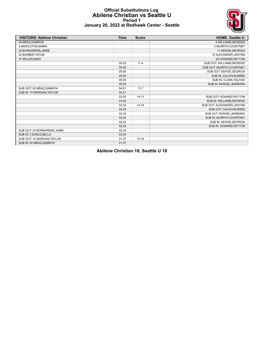#### **Official Substitutions Log Abilene Christian vs Seattle U Period 1 January 20, 2022 at Redhawk Center - Seattle**



| <b>VISITORS: Abilene Christian</b> | <b>Time</b> | <b>Score</b> | <b>HOME: Seattle U</b>     |
|------------------------------------|-------------|--------------|----------------------------|
| 00 MRAZ, KAMRYN                    |             |              | 4 WILLIAMS, MCKENZI        |
| 4 MIDDLETON, EMMA                  |             |              | 5 MURPHY, COURTNEY         |
| 20 BONNARENS, JAMIE                |             |              | 11 KEHOE, GEORGIA          |
| 22 BARBER, TATUM                   |             |              | 15 ALEXANDER, JADYNN       |
| 31 MILLER, MADI                    |             |              | 20 HOWARD, PEYTON          |
|                                    | 05:55       | $11 - 4$     | SUB OUT: WILLIAMS, MCKENZI |
|                                    | 05:55       |              | SUB OUT: MURPHY, COURTNEY  |
|                                    | 05:55       |              | SUB OUT: KEHOE, GEORGIA    |
|                                    | 05:55       |              | SUB IN: CALHOUN, BREE      |
|                                    | 05:55       |              | SUB IN: CLARK, TALIYAH     |
|                                    | 05:55       |              | SUB IN: RANGEL, BARBARA    |
| SUB OUT: 00 MRAZ.KAMRYN            | 04:51       | $11 - 7$     |                            |
| SUB IN: 10 MORGAN, TAYLOR          | 04:51       |              |                            |
|                                    | 03:20       | $14 - 11$    | SUB OUT: HOWARD.PEYTON     |
|                                    | 03:20       |              | SUB IN: WILLIAMS.MCKENZI   |
|                                    | 02:24       | $14 - 16$    | SUB OUT: ALEXANDER.JADYNN  |
|                                    | 02:24       |              | SUB OUT: CALHOUN.BREE      |
|                                    | 02:24       |              | SUB OUT: RANGEL, BARBARA   |
|                                    | 02:24       |              | SUB IN: MURPHY, COURTNEY   |
|                                    | 02:24       |              | SUB IN: KEHOE, GEORGIA     |
|                                    | 02:24       |              | SUB IN: HOWARD, PEYTON     |
| SUB OUT: 20 BONNARENS, JAMIE       | 02:24       |              |                            |
| SUB IN: 3 EARLE, BELLA             | 02:24       |              |                            |
| SUB OUT: 10 MORGAN, TAYLOR         | 01:37       | $14 - 16$    |                            |
| SUB IN: 00 MRAZ, KAMRYN            | 01:37       |              |                            |

**Abilene Christian 16, Seattle U 18**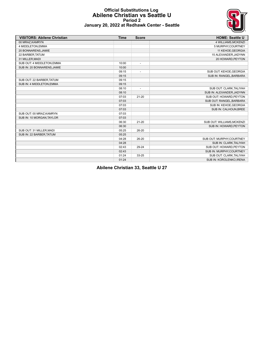

#### **Official Substitutions Log Abilene Christian vs Seattle U Period 2 January 20, 2022 at Redhawk Center - Seattle**

| <b>VISITORS: Abilene Christian</b> | <b>Time</b> | <b>Score</b>             | <b>HOME: Seattle U</b>     |
|------------------------------------|-------------|--------------------------|----------------------------|
| 00 MRAZ.KAMRYN                     |             |                          | <b>4 WILLIAMS.MCKENZI</b>  |
| 4 MIDDLETON, EMMA                  |             |                          | 5 MURPHY, COURTNEY         |
| 20 BONNARENS, JAMIE                |             |                          | 11 KEHOE, GEORGIA          |
| 22 BARBER, TATUM                   |             |                          | 15 ALEXANDER, JADYNN       |
| 31 MILLER, MADI                    |             |                          | 20 HOWARD, PEYTON          |
| SUB OUT: 4 MIDDLETON, EMMA         | 10:00       | $\overline{\phantom{a}}$ |                            |
| SUB IN: 20 BONNARENS, JAMIE        | 10:00       |                          |                            |
|                                    | 09:15       | $\overline{\phantom{a}}$ | SUB OUT: KEHOE, GEORGIA    |
|                                    | 09:15       |                          | SUB IN: RANGEL, BARBARA    |
| SUB OUT: 22 BARBER, TATUM          | 09:15       |                          |                            |
| SUB IN: 4 MIDDLETON.EMMA           | 09:15       |                          |                            |
|                                    | 08:10       | $\overline{a}$           | SUB OUT: CLARK, TALIYAH    |
|                                    | 08:10       |                          | SUB IN: ALEXANDER, JADYNN  |
|                                    | 07:03       | $21 - 20$                | SUB OUT: HOWARD, PEYTON    |
|                                    | 07:03       |                          | SUB OUT: RANGEL, BARBARA   |
|                                    | 07:03       |                          | SUB IN: KEHOE, GEORGIA     |
|                                    | 07:03       |                          | SUB IN: CALHOUN, BREE      |
| SUB OUT: 00 MRAZ, KAMRYN           | 07:03       |                          |                            |
| SUB IN: 10 MORGAN, TAYLOR          | 07:03       |                          |                            |
|                                    | 06:30       | $21 - 20$                | SUB OUT: WILLIAMS, MCKENZI |
|                                    | 06:30       |                          | SUB IN: HOWARD.PEYTON      |
| SUB OUT: 31 MILLER, MADI           | 05:25       | 26-20                    |                            |
| SUB IN: 22 BARBER, TATUM           | 05:25       |                          |                            |
|                                    | 04:28       | 26-20                    | SUB OUT: MURPHY, COURTNEY  |
|                                    | 04:28       |                          | SUB IN: CLARK, TALIYAH     |
|                                    | 02:43       | 29-24                    | SUB OUT: HOWARD, PEYTON    |
|                                    | 02:43       |                          | SUB IN: MURPHY, COURTNEY   |
|                                    | 01:24       | 33-25                    | SUB OUT: CLARK, TALIYAH    |
|                                    | 01:24       |                          | SUB IN: KOROLENKO, IRENA   |

**Abilene Christian 33, Seattle U 27**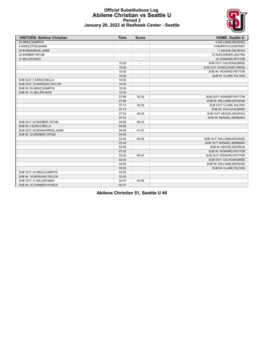

#### **Official Substitutions Log Abilene Christian vs Seattle U Period 3 January 20, 2022 at Redhawk Center - Seattle**

| <b>VISITORS: Abilene Christian</b> | <b>Time</b> | <b>Score</b> | <b>HOME: Seattle U</b>     |
|------------------------------------|-------------|--------------|----------------------------|
| 00 MRAZ, KAMRYN                    |             |              | 4 WILLIAMS, MCKENZI        |
| 4 MIDDLETON, EMMA                  |             |              | 5 MURPHY, COURTNEY         |
| 20 BONNARENS, JAMIE                |             |              | 11 KEHOE, GEORGIA          |
| 22 BARBER, TATUM                   |             |              | 15 ALEXANDER, JADYNN       |
| 31 MILLER, MADI                    |             |              | 20 HOWARD, PEYTON          |
|                                    | 10:00       |              | SUB OUT: CALHOUN, BREE     |
|                                    | 10:00       |              | SUB OUT: KOROLENKO, IRENA  |
|                                    | 10:00       |              | SUB IN: HOWARD, PEYTON     |
|                                    | 10:00       |              | SUB IN: CLARK, TALIYAH     |
| SUB OUT: 3 EARLE, BELLA            | 10:00       |              |                            |
| SUB OUT: 10 MORGAN, TAYLOR         | 10:00       |              |                            |
| SUB IN: 00 MRAZ, KAMRYN            | 10:00       |              |                            |
| SUB IN: 31 MILLER, MADI            | 10:00       |              |                            |
|                                    | 07:56       | 35-30        | SUB OUT: HOWARD.PEYTON     |
|                                    | 07:56       |              | SUB IN: WILLIAMS, MCKENZI  |
|                                    | 07:13       | 36-30        | SUB OUT: CLARK, TALIYAH    |
|                                    | 07:13       |              | SUB IN: CALHOUN, BREE      |
|                                    | 07:02       | 38-30        | SUB OUT: KEHOE, GEORGIA    |
|                                    | 07:02       |              | SUB IN: RANGEL, BARBARA    |
| SUB OUT: 22 BARBER, TATUM          | 05:58       | 38-33        |                            |
| SUB IN: 3 EARLE, BELLA             | 05:58       |              |                            |
| SUB OUT: 20 BONNARENS, JAMIE       | 04:56       | 41-37        |                            |
| SUB IN: 22 BARBER, TATUM           | 04:56       |              |                            |
|                                    | 03:35       | 44-39        | SUB OUT: WILLIAMS, MCKENZI |
|                                    | 03:35       |              | SUB OUT: RANGEL, BARBARA   |
|                                    | 03:35       |              | SUB IN: KEHOE, GEORGIA     |
|                                    | 03:35       |              | SUB IN: HOWARD, PEYTON     |
|                                    | 02:00       | 48-43        | SUB OUT: HOWARD.PEYTON     |
|                                    | 02:00       |              | SUB OUT: CALHOUN, BREE     |
|                                    | 02:00       |              | SUB IN: WILLIAMS, MCKENZI  |
|                                    | 02:00       |              | SUB IN: CLARK, TALIYAH     |
| SUB OUT: 00 MRAZ, KAMRYN           | 02:00       |              |                            |
| SUB IN: 10 MORGAN, TAYLOR          | 02:00       |              |                            |
| SUB OUT: 31 MILLER, MADI           | 00:37       | $50 - 46$    |                            |
| SUB IN: 32 CRAMER, NYKALE          | 00:37       |              |                            |

**Abilene Christian 51, Seattle U 46**